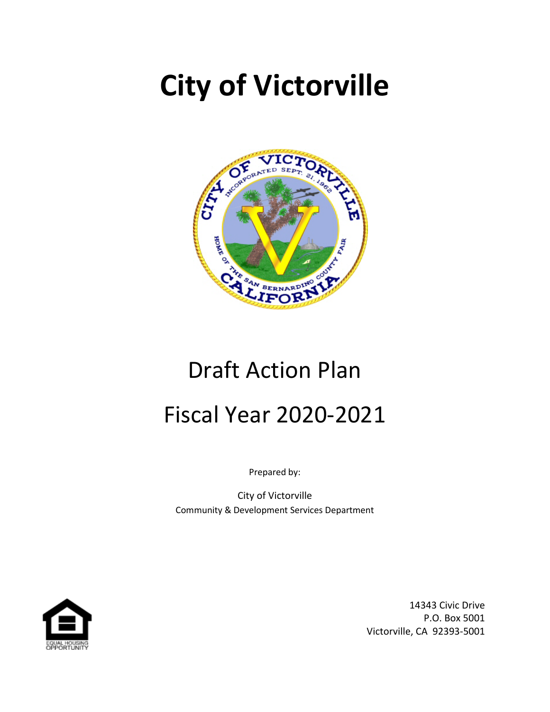# **City of Victorville**



# Draft Action Plan Fiscal Year 2020-2021

Prepared by:

City of Victorville Community & Development Services Department



14343 Civic Drive P.O. Box 5001 Victorville, CA 92393-5001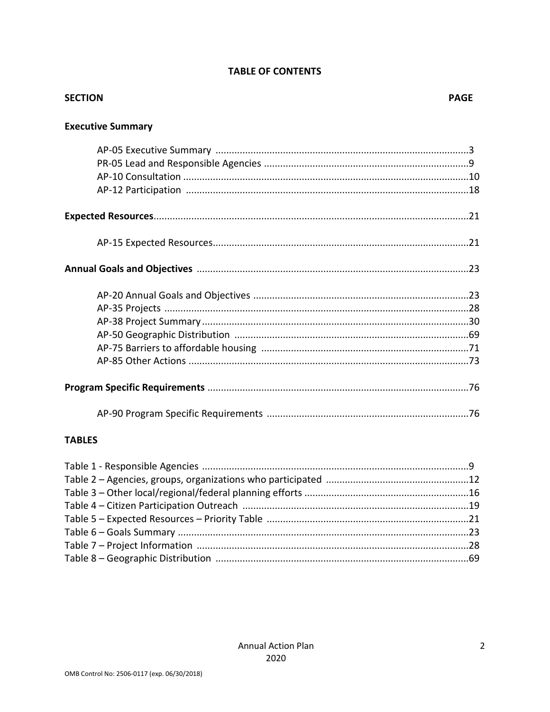## **TABLE OF CONTENTS**

| <b>SECTION</b>           | <b>PAGE</b> |
|--------------------------|-------------|
| <b>Executive Summary</b> |             |
|                          |             |
|                          |             |
|                          |             |
|                          |             |
|                          |             |
|                          |             |
|                          |             |
|                          |             |
|                          |             |
|                          |             |
|                          |             |
|                          |             |
|                          |             |
|                          |             |
|                          |             |
| <b>TADIC</b>             |             |

#### **TABLES**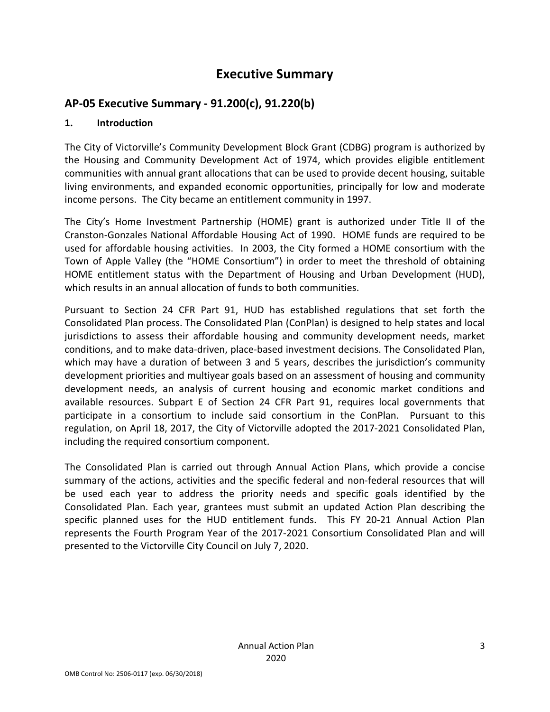# **Executive Summary**

# **AP-05 Executive Summary - 91.200(c), 91.220(b)**

## **1. Introduction**

The City of Victorville's Community Development Block Grant (CDBG) program is authorized by the Housing and Community Development Act of 1974, which provides eligible entitlement communities with annual grant allocations that can be used to provide decent housing, suitable living environments, and expanded economic opportunities, principally for low and moderate income persons. The City became an entitlement community in 1997.

The City's Home Investment Partnership (HOME) grant is authorized under Title II of the Cranston-Gonzales National Affordable Housing Act of 1990. HOME funds are required to be used for affordable housing activities. In 2003, the City formed a HOME consortium with the Town of Apple Valley (the "HOME Consortium") in order to meet the threshold of obtaining HOME entitlement status with the Department of Housing and Urban Development (HUD), which results in an annual allocation of funds to both communities.

Pursuant to Section 24 CFR Part 91, HUD has established regulations that set forth the Consolidated Plan process. The Consolidated Plan (ConPlan) is designed to help states and local jurisdictions to assess their affordable housing and community development needs, market conditions, and to make data-driven, place-based investment decisions. The Consolidated Plan, which may have a duration of between 3 and 5 years, describes the jurisdiction's community development priorities and multiyear goals based on an assessment of housing and community development needs, an analysis of current housing and economic market conditions and available resources. Subpart E of Section 24 CFR Part 91, requires local governments that participate in a consortium to include said consortium in the ConPlan. Pursuant to this regulation, on April 18, 2017, the City of Victorville adopted the 2017-2021 Consolidated Plan, including the required consortium component.

The Consolidated Plan is carried out through Annual Action Plans, which provide a concise summary of the actions, activities and the specific federal and non-federal resources that will be used each year to address the priority needs and specific goals identified by the Consolidated Plan. Each year, grantees must submit an updated Action Plan describing the specific planned uses for the HUD entitlement funds. This FY 20-21 Annual Action Plan represents the Fourth Program Year of the 2017-2021 Consortium Consolidated Plan and will presented to the Victorville City Council on July 7, 2020.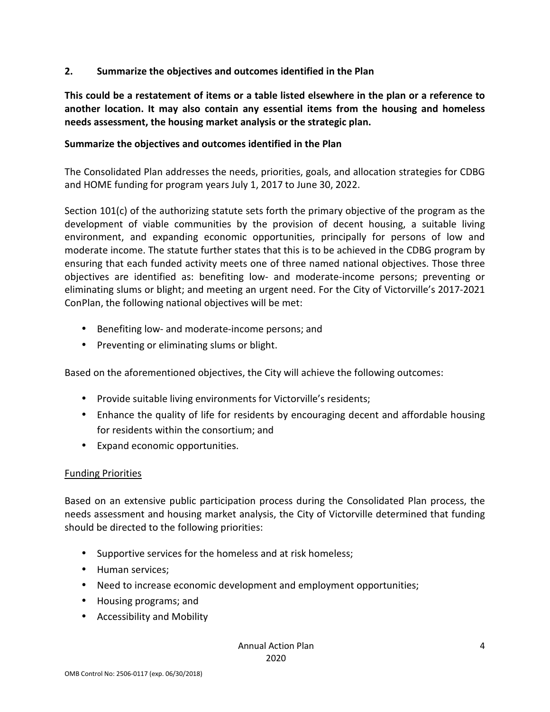## **2. Summarize the objectives and outcomes identified in the Plan**

**This could be a restatement of items or a table listed elsewhere in the plan or a reference to another location. It may also contain any essential items from the housing and homeless needs assessment, the housing market analysis or the strategic plan.** 

### **Summarize the objectives and outcomes identified in the Plan**

The Consolidated Plan addresses the needs, priorities, goals, and allocation strategies for CDBG and HOME funding for program years July 1, 2017 to June 30, 2022.

Section 101(c) of the authorizing statute sets forth the primary objective of the program as the development of viable communities by the provision of decent housing, a suitable living environment, and expanding economic opportunities, principally for persons of low and moderate income. The statute further states that this is to be achieved in the CDBG program by ensuring that each funded activity meets one of three named national objectives. Those three objectives are identified as: benefiting low- and moderate-income persons; preventing or eliminating slums or blight; and meeting an urgent need. For the City of Victorville's 2017-2021 ConPlan, the following national objectives will be met:

- Benefiting low- and moderate-income persons; and
- Preventing or eliminating slums or blight.

Based on the aforementioned objectives, the City will achieve the following outcomes:

- Provide suitable living environments for Victorville's residents;
- Enhance the quality of life for residents by encouraging decent and affordable housing for residents within the consortium; and
- Expand economic opportunities.

### Funding Priorities

Based on an extensive public participation process during the Consolidated Plan process, the needs assessment and housing market analysis, the City of Victorville determined that funding should be directed to the following priorities:

- Supportive services for the homeless and at risk homeless;
- Human services:
- Need to increase economic development and employment opportunities;
- Housing programs; and
- Accessibility and Mobility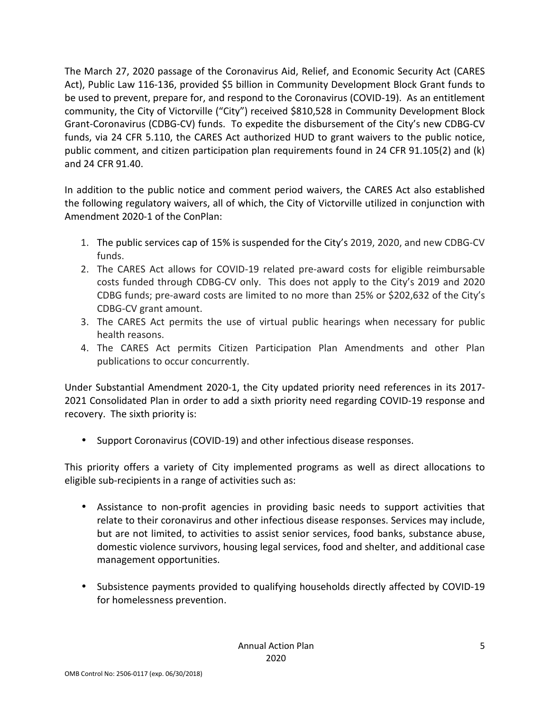The March 27, 2020 passage of the Coronavirus Aid, Relief, and Economic Security Act (CARES Act), Public Law 116-136, provided \$5 billion in Community Development Block Grant funds to be used to prevent, prepare for, and respond to the Coronavirus (COVID-19). As an entitlement community, the City of Victorville ("City") received \$810,528 in Community Development Block Grant-Coronavirus (CDBG-CV) funds. To expedite the disbursement of the City's new CDBG-CV funds, via 24 CFR 5.110, the CARES Act authorized HUD to grant waivers to the public notice, public comment, and citizen participation plan requirements found in 24 CFR 91.105(2) and (k) and 24 CFR 91.40.

In addition to the public notice and comment period waivers, the CARES Act also established the following regulatory waivers, all of which, the City of Victorville utilized in conjunction with Amendment 2020-1 of the ConPlan:

- 1. The public services cap of 15% is suspended for the City's 2019, 2020, and new CDBG-CV funds.
- 2. The CARES Act allows for COVID-19 related pre-award costs for eligible reimbursable costs funded through CDBG-CV only. This does not apply to the City's 2019 and 2020 CDBG funds; pre-award costs are limited to no more than 25% or \$202,632 of the City's CDBG-CV grant amount.
- 3. The CARES Act permits the use of virtual public hearings when necessary for public health reasons.
- 4. The CARES Act permits Citizen Participation Plan Amendments and other Plan publications to occur concurrently.

Under Substantial Amendment 2020-1, the City updated priority need references in its 2017- 2021 Consolidated Plan in order to add a sixth priority need regarding COVID-19 response and recovery. The sixth priority is:

• Support Coronavirus (COVID-19) and other infectious disease responses.

This priority offers a variety of City implemented programs as well as direct allocations to eligible sub-recipients in a range of activities such as:

- Assistance to non-profit agencies in providing basic needs to support activities that relate to their coronavirus and other infectious disease responses. Services may include, but are not limited, to activities to assist senior services, food banks, substance abuse, domestic violence survivors, housing legal services, food and shelter, and additional case management opportunities.
- Subsistence payments provided to qualifying households directly affected by COVID-19 for homelessness prevention.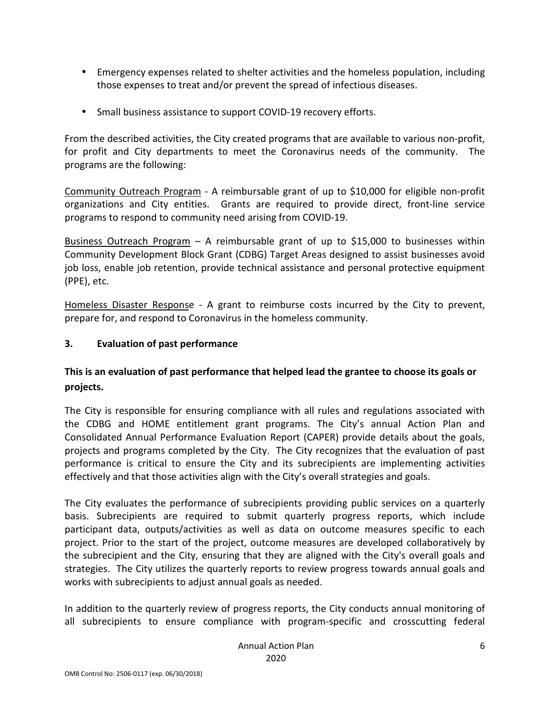- Emergency expenses related to shelter activities and the homeless population, including those expenses to treat and/or prevent the spread of infectious diseases.
- Small business assistance to support COVID-19 recovery efforts.

From the described activities, the City created programs that are available to various non-profit, for profit and City departments to meet the Coronavirus needs of the community. The programs are the following:

Community Outreach Program - A reimbursable grant of up to \$10,000 for eligible non-profit organizations and City entities. Grants are required to provide direct, front-line service programs to respond to community need arising from COVID-19.

Business Outreach Program – A reimbursable grant of up to \$15,000 to businesses within Community Development Block Grant (CDBG) Target Areas designed to assist businesses avoid job loss, enable job retention, provide technical assistance and personal protective equipment (PPE), etc.

Homeless Disaster Response - A grant to reimburse costs incurred by the City to prevent, prepare for, and respond to Coronavirus in the homeless community.

## **3. Evaluation of past performance**

# **This is an evaluation of past performance that helped lead the grantee to choose its goals or projects.**

The City is responsible for ensuring compliance with all rules and regulations associated with the CDBG and HOME entitlement grant programs. The City's annual Action Plan and Consolidated Annual Performance Evaluation Report (CAPER) provide details about the goals, projects and programs completed by the City. The City recognizes that the evaluation of past performance is critical to ensure the City and its subrecipients are implementing activities effectively and that those activities align with the City's overall strategies and goals.

The City evaluates the performance of subrecipients providing public services on a quarterly basis. Subrecipients are required to submit quarterly progress reports, which include participant data, outputs/activities as well as data on outcome measures specific to each project. Prior to the start of the project, outcome measures are developed collaboratively by the subrecipient and the City, ensuring that they are aligned with the City's overall goals and strategies. The City utilizes the quarterly reports to review progress towards annual goals and works with subrecipients to adjust annual goals as needed.

In addition to the quarterly review of progress reports, the City conducts annual monitoring of all subrecipients to ensure compliance with program-specific and crosscutting federal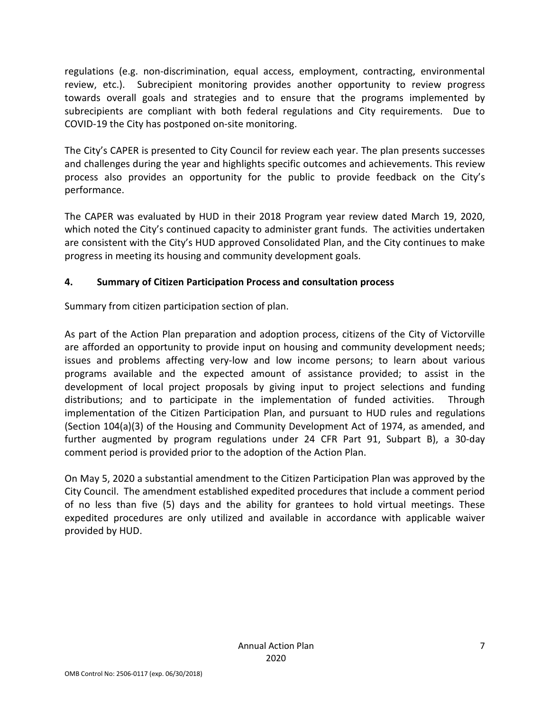regulations (e.g. non-discrimination, equal access, employment, contracting, environmental review, etc.). Subrecipient monitoring provides another opportunity to review progress towards overall goals and strategies and to ensure that the programs implemented by subrecipients are compliant with both federal regulations and City requirements. Due to COVID-19 the City has postponed on-site monitoring.

The City's CAPER is presented to City Council for review each year. The plan presents successes and challenges during the year and highlights specific outcomes and achievements. This review process also provides an opportunity for the public to provide feedback on the City's performance.

The CAPER was evaluated by HUD in their 2018 Program year review dated March 19, 2020, which noted the City's continued capacity to administer grant funds. The activities undertaken are consistent with the City's HUD approved Consolidated Plan, and the City continues to make progress in meeting its housing and community development goals.

# **4. Summary of Citizen Participation Process and consultation process**

Summary from citizen participation section of plan.

As part of the Action Plan preparation and adoption process, citizens of the City of Victorville are afforded an opportunity to provide input on housing and community development needs; issues and problems affecting very-low and low income persons; to learn about various programs available and the expected amount of assistance provided; to assist in the development of local project proposals by giving input to project selections and funding distributions; and to participate in the implementation of funded activities. Through implementation of the Citizen Participation Plan, and pursuant to HUD rules and regulations (Section 104(a)(3) of the Housing and Community Development Act of 1974, as amended, and further augmented by program regulations under 24 CFR Part 91, Subpart B), a 30-day comment period is provided prior to the adoption of the Action Plan.

On May 5, 2020 a substantial amendment to the Citizen Participation Plan was approved by the City Council. The amendment established expedited procedures that include a comment period of no less than five (5) days and the ability for grantees to hold virtual meetings. These expedited procedures are only utilized and available in accordance with applicable waiver provided by HUD.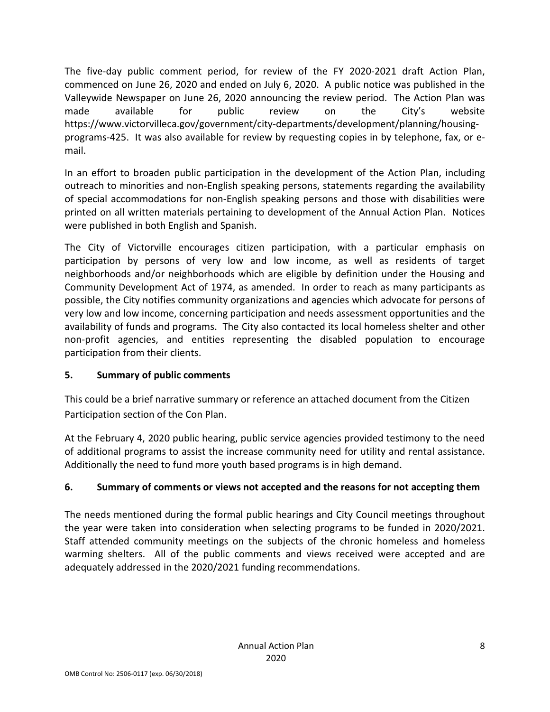The five-day public comment period, for review of the FY 2020-2021 draft Action Plan, commenced on June 26, 2020 and ended on July 6, 2020. A public notice was published in the Valleywide Newspaper on June 26, 2020 announcing the review period. The Action Plan was made available for public review on the City's website https://www.victorvilleca.gov/government/city-departments/development/planning/housingprograms-425. It was also available for review by requesting copies in by telephone, fax, or email.

In an effort to broaden public participation in the development of the Action Plan, including outreach to minorities and non-English speaking persons, statements regarding the availability of special accommodations for non-English speaking persons and those with disabilities were printed on all written materials pertaining to development of the Annual Action Plan. Notices were published in both English and Spanish.

The City of Victorville encourages citizen participation, with a particular emphasis on participation by persons of very low and low income, as well as residents of target neighborhoods and/or neighborhoods which are eligible by definition under the Housing and Community Development Act of 1974, as amended. In order to reach as many participants as possible, the City notifies community organizations and agencies which advocate for persons of very low and low income, concerning participation and needs assessment opportunities and the availability of funds and programs. The City also contacted its local homeless shelter and other non-profit agencies, and entities representing the disabled population to encourage participation from their clients.

## **5. Summary of public comments**

This could be a brief narrative summary or reference an attached document from the Citizen Participation section of the Con Plan.

At the February 4, 2020 public hearing, public service agencies provided testimony to the need of additional programs to assist the increase community need for utility and rental assistance. Additionally the need to fund more youth based programs is in high demand.

## **6. Summary of comments or views not accepted and the reasons for not accepting them**

The needs mentioned during the formal public hearings and City Council meetings throughout the year were taken into consideration when selecting programs to be funded in 2020/2021. Staff attended community meetings on the subjects of the chronic homeless and homeless warming shelters. All of the public comments and views received were accepted and are adequately addressed in the 2020/2021 funding recommendations.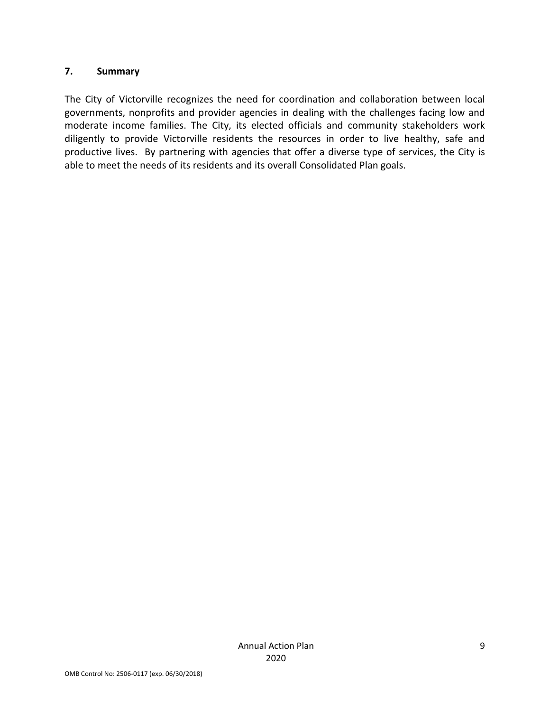## **7. Summary**

The City of Victorville recognizes the need for coordination and collaboration between local governments, nonprofits and provider agencies in dealing with the challenges facing low and moderate income families. The City, its elected officials and community stakeholders work diligently to provide Victorville residents the resources in order to live healthy, safe and productive lives. By partnering with agencies that offer a diverse type of services, the City is able to meet the needs of its residents and its overall Consolidated Plan goals.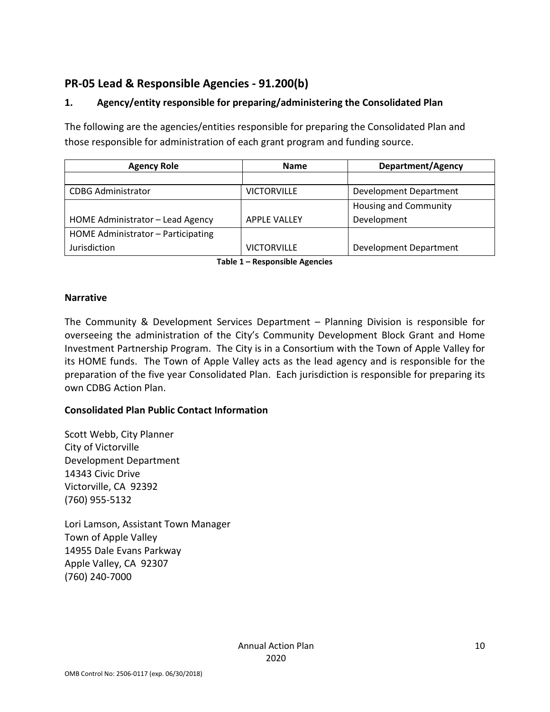# **PR-05 Lead & Responsible Agencies - 91.200(b)**

# **1. Agency/entity responsible for preparing/administering the Consolidated Plan**

The following are the agencies/entities responsible for preparing the Consolidated Plan and those responsible for administration of each grant program and funding source.

| <b>Agency Role</b>                 | <b>Name</b>         | Department/Agency             |  |  |
|------------------------------------|---------------------|-------------------------------|--|--|
|                                    |                     |                               |  |  |
| <b>CDBG Administrator</b>          | <b>VICTORVILLE</b>  | Development Department        |  |  |
|                                    |                     | <b>Housing and Community</b>  |  |  |
| HOME Administrator - Lead Agency   | <b>APPLE VALLEY</b> | Development                   |  |  |
| HOME Administrator - Participating |                     |                               |  |  |
| Jurisdiction                       | <b>VICTORVILLE</b>  | <b>Development Department</b> |  |  |

**Table 1 – Responsible Agencies** 

## **Narrative**

The Community & Development Services Department – Planning Division is responsible for overseeing the administration of the City's Community Development Block Grant and Home Investment Partnership Program. The City is in a Consortium with the Town of Apple Valley for its HOME funds. The Town of Apple Valley acts as the lead agency and is responsible for the preparation of the five year Consolidated Plan. Each jurisdiction is responsible for preparing its own CDBG Action Plan.

## **Consolidated Plan Public Contact Information**

Scott Webb, City Planner City of Victorville Development Department 14343 Civic Drive Victorville, CA 92392 (760) 955-5132

Lori Lamson, Assistant Town Manager Town of Apple Valley 14955 Dale Evans Parkway Apple Valley, CA 92307 (760) 240-7000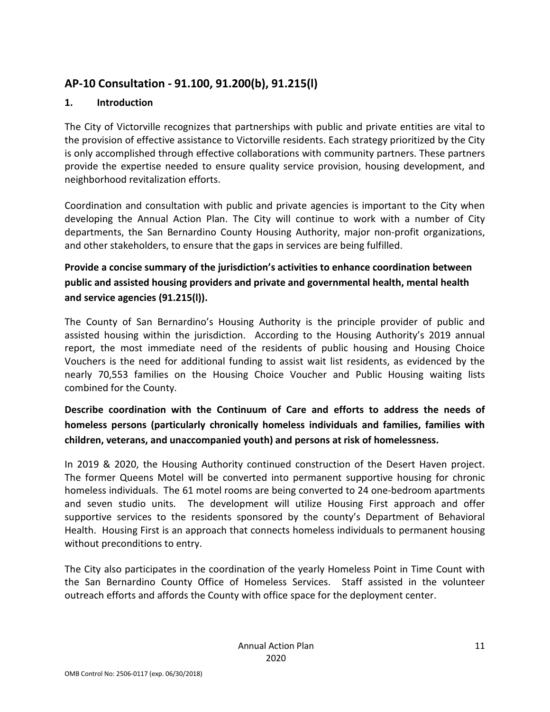# **AP-10 Consultation - 91.100, 91.200(b), 91.215(l)**

# **1. Introduction**

The City of Victorville recognizes that partnerships with public and private entities are vital to the provision of effective assistance to Victorville residents. Each strategy prioritized by the City is only accomplished through effective collaborations with community partners. These partners provide the expertise needed to ensure quality service provision, housing development, and neighborhood revitalization efforts.

Coordination and consultation with public and private agencies is important to the City when developing the Annual Action Plan. The City will continue to work with a number of City departments, the San Bernardino County Housing Authority, major non-profit organizations, and other stakeholders, to ensure that the gaps in services are being fulfilled.

**Provide a concise summary of the jurisdiction's activities to enhance coordination between public and assisted housing providers and private and governmental health, mental health and service agencies (91.215(l)).** 

The County of San Bernardino's Housing Authority is the principle provider of public and assisted housing within the jurisdiction. According to the Housing Authority's 2019 annual report, the most immediate need of the residents of public housing and Housing Choice Vouchers is the need for additional funding to assist wait list residents, as evidenced by the nearly 70,553 families on the Housing Choice Voucher and Public Housing waiting lists combined for the County.

# **Describe coordination with the Continuum of Care and efforts to address the needs of homeless persons (particularly chronically homeless individuals and families, families with children, veterans, and unaccompanied youth) and persons at risk of homelessness.**

In 2019 & 2020, the Housing Authority continued construction of the Desert Haven project. The former Queens Motel will be converted into permanent supportive housing for chronic homeless individuals. The 61 motel rooms are being converted to 24 one-bedroom apartments and seven studio units. The development will utilize Housing First approach and offer supportive services to the residents sponsored by the county's Department of Behavioral Health. Housing First is an approach that connects homeless individuals to permanent housing without preconditions to entry.

The City also participates in the coordination of the yearly Homeless Point in Time Count with the San Bernardino County Office of Homeless Services. Staff assisted in the volunteer outreach efforts and affords the County with office space for the deployment center.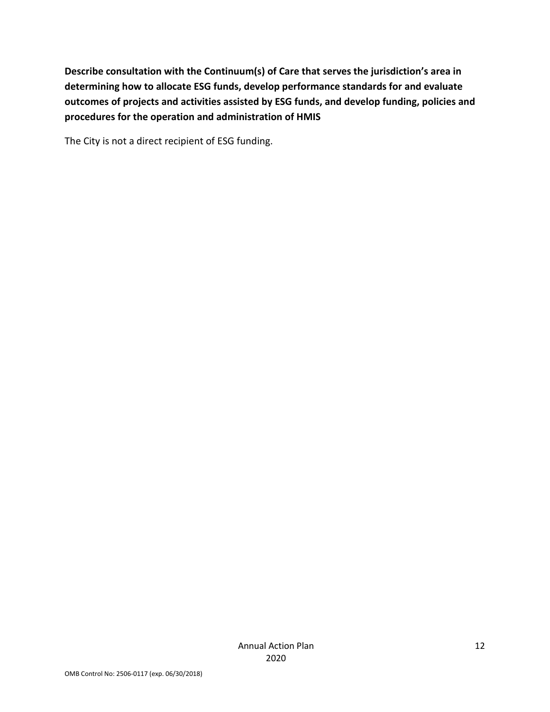**Describe consultation with the Continuum(s) of Care that serves the jurisdiction's area in determining how to allocate ESG funds, develop performance standards for and evaluate outcomes of projects and activities assisted by ESG funds, and develop funding, policies and procedures for the operation and administration of HMIS** 

The City is not a direct recipient of ESG funding.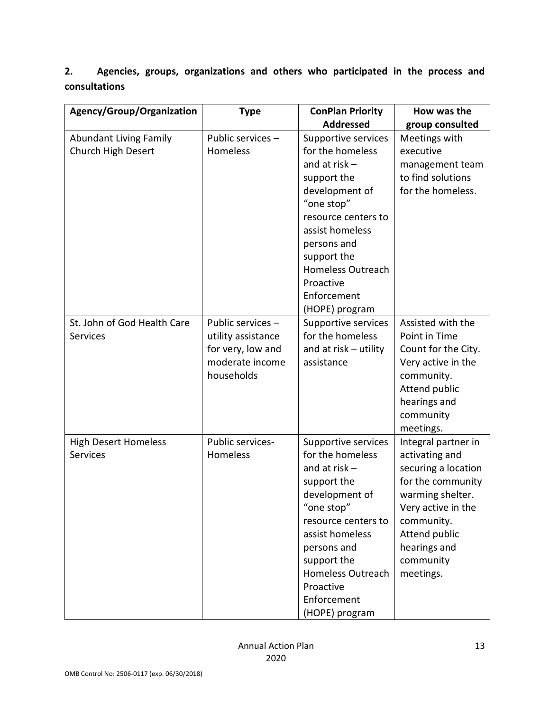**2. Agencies, groups, organizations and others who participated in the process and consultations**

| Agency/Group/Organization                           | <b>Type</b>                                                                                   | <b>ConPlan Priority</b>                                                                                                                                                                                                                                     | How was the                                                                                                                                                                                          |
|-----------------------------------------------------|-----------------------------------------------------------------------------------------------|-------------------------------------------------------------------------------------------------------------------------------------------------------------------------------------------------------------------------------------------------------------|------------------------------------------------------------------------------------------------------------------------------------------------------------------------------------------------------|
|                                                     |                                                                                               | <b>Addressed</b>                                                                                                                                                                                                                                            | group consulted                                                                                                                                                                                      |
| <b>Abundant Living Family</b><br>Church High Desert | Public services -<br>Homeless                                                                 | Supportive services<br>for the homeless<br>and at risk $-$<br>support the<br>development of<br>"one stop"<br>resource centers to<br>assist homeless<br>persons and<br>support the<br><b>Homeless Outreach</b><br>Proactive<br>Enforcement<br>(HOPE) program | Meetings with<br>executive<br>management team<br>to find solutions<br>for the homeless.                                                                                                              |
| St. John of God Health Care<br><b>Services</b>      | Public services -<br>utility assistance<br>for very, low and<br>moderate income<br>households | <b>Supportive services</b><br>for the homeless<br>and at risk - utility<br>assistance                                                                                                                                                                       | Assisted with the<br>Point in Time<br>Count for the City.<br>Very active in the<br>community.<br>Attend public<br>hearings and<br>community<br>meetings.                                             |
| <b>High Desert Homeless</b><br><b>Services</b>      | Public services-<br>Homeless                                                                  | Supportive services<br>for the homeless<br>and at risk $-$<br>support the<br>development of<br>"one stop"<br>resource centers to<br>assist homeless<br>persons and<br>support the<br><b>Homeless Outreach</b><br>Proactive<br>Enforcement<br>(HOPE) program | Integral partner in<br>activating and<br>securing a location<br>for the community<br>warming shelter.<br>Very active in the<br>community.<br>Attend public<br>hearings and<br>community<br>meetings. |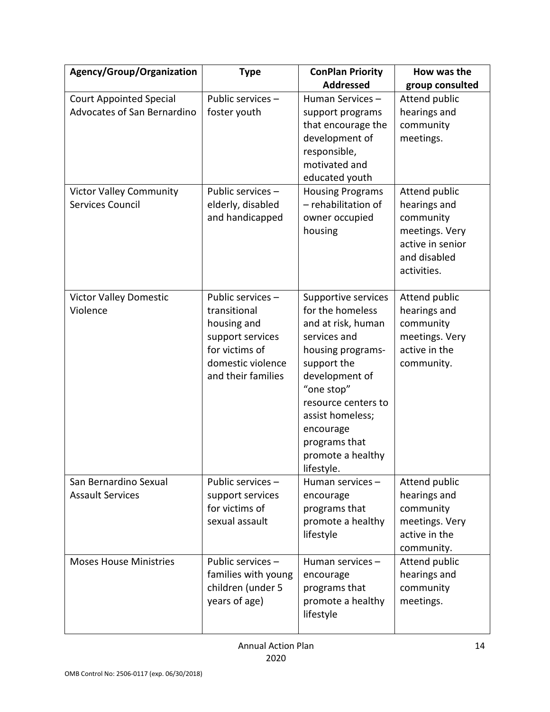| Agency/Group/Organization                                            | <b>Type</b>                                                                                                                       | <b>ConPlan Priority</b><br><b>Addressed</b>                                                                                                                                                                                                                   | How was the<br>group consulted                                                                                  |
|----------------------------------------------------------------------|-----------------------------------------------------------------------------------------------------------------------------------|---------------------------------------------------------------------------------------------------------------------------------------------------------------------------------------------------------------------------------------------------------------|-----------------------------------------------------------------------------------------------------------------|
| <b>Court Appointed Special</b><br><b>Advocates of San Bernardino</b> | Public services -<br>foster youth                                                                                                 | Human Services-<br>support programs<br>that encourage the<br>development of<br>responsible,<br>motivated and<br>educated youth                                                                                                                                | Attend public<br>hearings and<br>community<br>meetings.                                                         |
| <b>Victor Valley Community</b><br>Services Council                   | Public services -<br>elderly, disabled<br>and handicapped                                                                         | <b>Housing Programs</b><br>- rehabilitation of<br>owner occupied<br>housing                                                                                                                                                                                   | Attend public<br>hearings and<br>community<br>meetings. Very<br>active in senior<br>and disabled<br>activities. |
| <b>Victor Valley Domestic</b><br>Violence                            | Public services -<br>transitional<br>housing and<br>support services<br>for victims of<br>domestic violence<br>and their families | Supportive services<br>for the homeless<br>and at risk, human<br>services and<br>housing programs-<br>support the<br>development of<br>"one stop"<br>resource centers to<br>assist homeless;<br>encourage<br>programs that<br>promote a healthy<br>lifestyle. | Attend public<br>hearings and<br>community<br>meetings. Very<br>active in the<br>community.                     |
| San Bernardino Sexual<br><b>Assault Services</b>                     | Public services -<br>support services<br>for victims of<br>sexual assault                                                         | Human services-<br>encourage<br>programs that<br>promote a healthy<br>lifestyle                                                                                                                                                                               | Attend public<br>hearings and<br>community<br>meetings. Very<br>active in the<br>community.                     |
| <b>Moses House Ministries</b>                                        | Public services -<br>families with young<br>children (under 5<br>years of age)                                                    | Human services-<br>encourage<br>programs that<br>promote a healthy<br>lifestyle                                                                                                                                                                               | Attend public<br>hearings and<br>community<br>meetings.                                                         |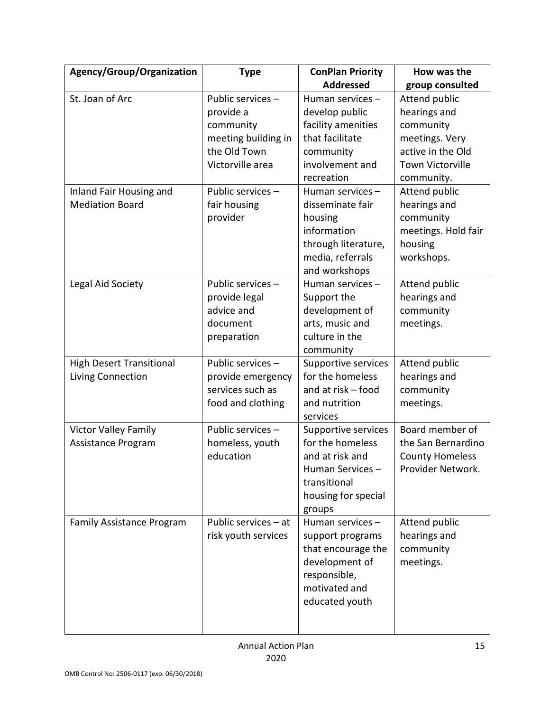| Agency/Group/Organization        | <b>Type</b>          | <b>ConPlan Priority</b>                | How was the                           |
|----------------------------------|----------------------|----------------------------------------|---------------------------------------|
|                                  |                      | <b>Addressed</b>                       | group consulted                       |
| St. Joan of Arc                  | Public services -    | Human services-                        | Attend public                         |
|                                  | provide a            | develop public                         | hearings and                          |
|                                  | community            | facility amenities                     | community                             |
|                                  | meeting building in  | that facilitate                        | meetings. Very                        |
|                                  | the Old Town         | community                              | active in the Old                     |
|                                  | Victorville area     | involvement and<br>recreation          | <b>Town Victorville</b><br>community. |
| Inland Fair Housing and          | Public services -    | Human services-                        | Attend public                         |
| <b>Mediation Board</b>           | fair housing         | disseminate fair                       | hearings and                          |
|                                  | provider             | housing                                | community                             |
|                                  |                      | information                            | meetings. Hold fair                   |
|                                  |                      | through literature,                    | housing                               |
|                                  |                      | media, referrals                       | workshops.                            |
|                                  |                      | and workshops                          |                                       |
| Legal Aid Society                | Public services -    | Human services-                        | Attend public                         |
|                                  | provide legal        | Support the                            | hearings and                          |
|                                  | advice and           | development of                         | community                             |
|                                  | document             | arts, music and                        | meetings.                             |
|                                  | preparation          | culture in the                         |                                       |
|                                  |                      | community                              |                                       |
| <b>High Desert Transitional</b>  | Public services -    | Supportive services                    | Attend public                         |
| Living Connection                | provide emergency    | for the homeless                       | hearings and                          |
|                                  | services such as     | and at risk - food                     | community                             |
|                                  | food and clothing    | and nutrition                          | meetings.                             |
|                                  |                      | services                               |                                       |
| <b>Victor Valley Family</b>      | Public services -    | Supportive services                    | Board member of                       |
| Assistance Program               | homeless, youth      | for the homeless                       | the San Bernardino                    |
|                                  | education            | and at risk and                        | <b>County Homeless</b>                |
|                                  |                      | Human Services-                        | Provider Network.                     |
|                                  |                      | transitional                           |                                       |
|                                  |                      | housing for special                    |                                       |
|                                  | Public services - at | groups<br>Human services-              | Attend public                         |
| <b>Family Assistance Program</b> | risk youth services  |                                        | hearings and                          |
|                                  |                      | support programs<br>that encourage the | community                             |
|                                  |                      | development of                         | meetings.                             |
|                                  |                      | responsible,                           |                                       |
|                                  |                      | motivated and                          |                                       |
|                                  |                      | educated youth                         |                                       |
|                                  |                      |                                        |                                       |
|                                  |                      |                                        |                                       |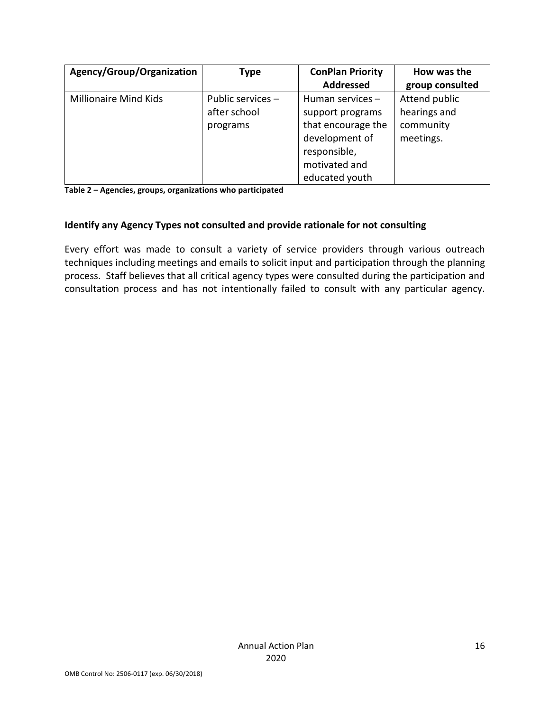| Agency/Group/Organization | <b>Type</b>       | <b>ConPlan Priority</b> | How was the     |
|---------------------------|-------------------|-------------------------|-----------------|
|                           |                   | <b>Addressed</b>        | group consulted |
| Millionaire Mind Kids     | Public services - | Human services-         | Attend public   |
|                           | after school      | support programs        | hearings and    |
|                           | programs          | that encourage the      | community       |
|                           |                   | development of          | meetings.       |
|                           |                   | responsible,            |                 |
|                           |                   | motivated and           |                 |
|                           |                   | educated youth          |                 |

**Table 2 – Agencies, groups, organizations who participated**

### **Identify any Agency Types not consulted and provide rationale for not consulting**

Every effort was made to consult a variety of service providers through various outreach techniques including meetings and emails to solicit input and participation through the planning process. Staff believes that all critical agency types were consulted during the participation and consultation process and has not intentionally failed to consult with any particular agency.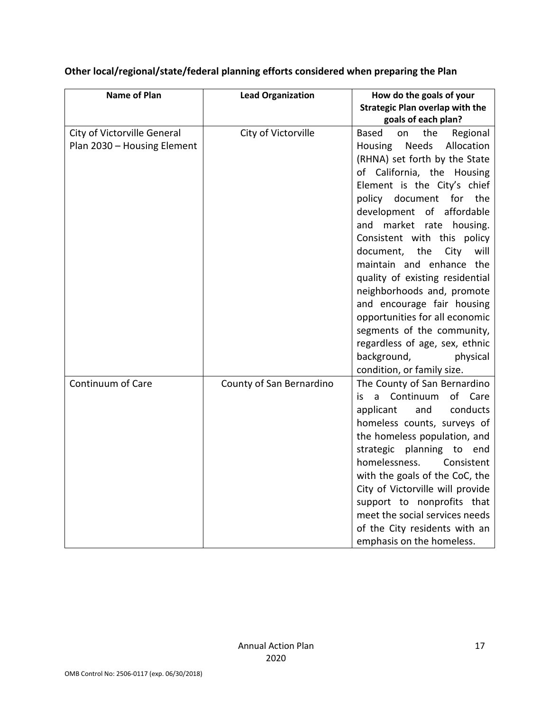| <b>Name of Plan</b>                                        | <b>Lead Organization</b> | How do the goals of your<br><b>Strategic Plan overlap with the</b>                                                                                                                                                                                                                                                                                                                                                                                                                                                                                                                                                              |  |  |
|------------------------------------------------------------|--------------------------|---------------------------------------------------------------------------------------------------------------------------------------------------------------------------------------------------------------------------------------------------------------------------------------------------------------------------------------------------------------------------------------------------------------------------------------------------------------------------------------------------------------------------------------------------------------------------------------------------------------------------------|--|--|
|                                                            |                          | goals of each plan?                                                                                                                                                                                                                                                                                                                                                                                                                                                                                                                                                                                                             |  |  |
| City of Victorville General<br>Plan 2030 - Housing Element | City of Victorville      | the<br>Regional<br><b>Based</b><br>on<br><b>Needs</b><br>Allocation<br>Housing<br>(RHNA) set forth by the State<br>of California, the Housing<br>Element is the City's chief<br>policy document<br>for the<br>of affordable<br>development<br>and market rate housing.<br>Consistent with this policy<br>document,<br>the<br>City<br>will<br>maintain and enhance the<br>quality of existing residential<br>neighborhoods and, promote<br>and encourage fair housing<br>opportunities for all economic<br>segments of the community,<br>regardless of age, sex, ethnic<br>background,<br>physical<br>condition, or family size. |  |  |
| Continuum of Care                                          | County of San Bernardino | The County of San Bernardino<br>Continuum<br>of Care<br>is.<br>a -<br>conducts<br>applicant<br>and<br>homeless counts, surveys of<br>the homeless population, and<br>strategic planning to end<br>homelessness.<br>Consistent<br>with the goals of the CoC, the<br>City of Victorville will provide<br>support to nonprofits that<br>meet the social services needs<br>of the City residents with an<br>emphasis on the homeless.                                                                                                                                                                                               |  |  |

# **Other local/regional/state/federal planning efforts considered when preparing the Plan**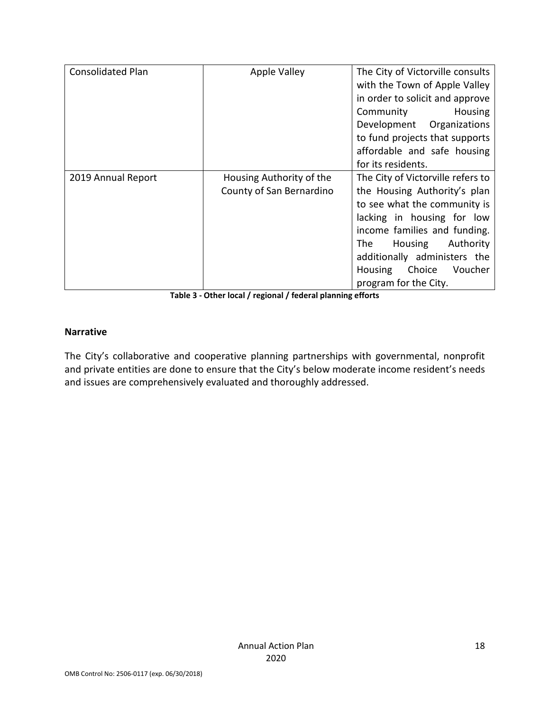| <b>Consolidated Plan</b> | <b>Apple Valley</b>      | The City of Victorville consults  |  |  |
|--------------------------|--------------------------|-----------------------------------|--|--|
|                          |                          | with the Town of Apple Valley     |  |  |
|                          |                          | in order to solicit and approve   |  |  |
|                          |                          | Community<br>Housing              |  |  |
|                          |                          | Development Organizations         |  |  |
|                          |                          | to fund projects that supports    |  |  |
|                          |                          | affordable and safe housing       |  |  |
|                          |                          | for its residents.                |  |  |
| 2019 Annual Report       | Housing Authority of the | The City of Victorville refers to |  |  |
|                          | County of San Bernardino | the Housing Authority's plan      |  |  |
|                          |                          | to see what the community is      |  |  |
|                          |                          | lacking in housing for low        |  |  |
|                          |                          | income families and funding.      |  |  |
|                          |                          | The<br>Housing<br>Authority       |  |  |
|                          |                          | additionally administers the      |  |  |
|                          |                          | Choice<br>Housing<br>Voucher      |  |  |
|                          |                          | program for the City.             |  |  |

**Table 3 - Other local / regional / federal planning efforts** 

## **Narrative**

The City's collaborative and cooperative planning partnerships with governmental, nonprofit and private entities are done to ensure that the City's below moderate income resident's needs and issues are comprehensively evaluated and thoroughly addressed.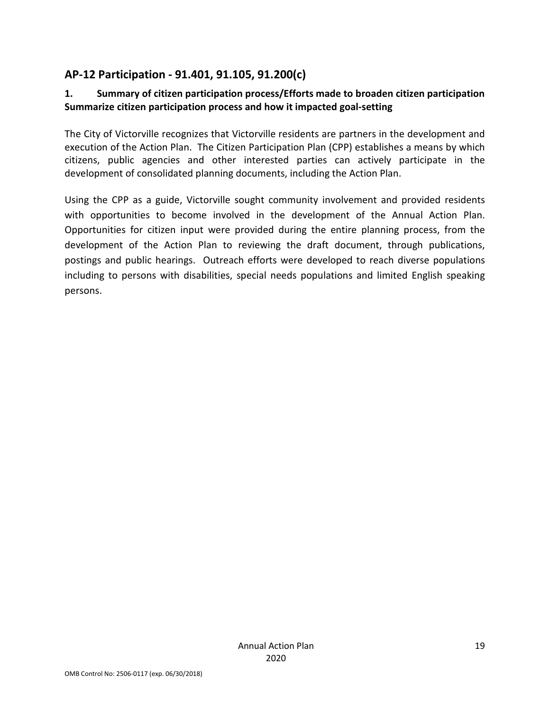# **AP-12 Participation - 91.401, 91.105, 91.200(c)**

## **1. Summary of citizen participation process/Efforts made to broaden citizen participation Summarize citizen participation process and how it impacted goal-setting**

The City of Victorville recognizes that Victorville residents are partners in the development and execution of the Action Plan. The Citizen Participation Plan (CPP) establishes a means by which citizens, public agencies and other interested parties can actively participate in the development of consolidated planning documents, including the Action Plan.

Using the CPP as a guide, Victorville sought community involvement and provided residents with opportunities to become involved in the development of the Annual Action Plan. Opportunities for citizen input were provided during the entire planning process, from the development of the Action Plan to reviewing the draft document, through publications, postings and public hearings. Outreach efforts were developed to reach diverse populations including to persons with disabilities, special needs populations and limited English speaking persons.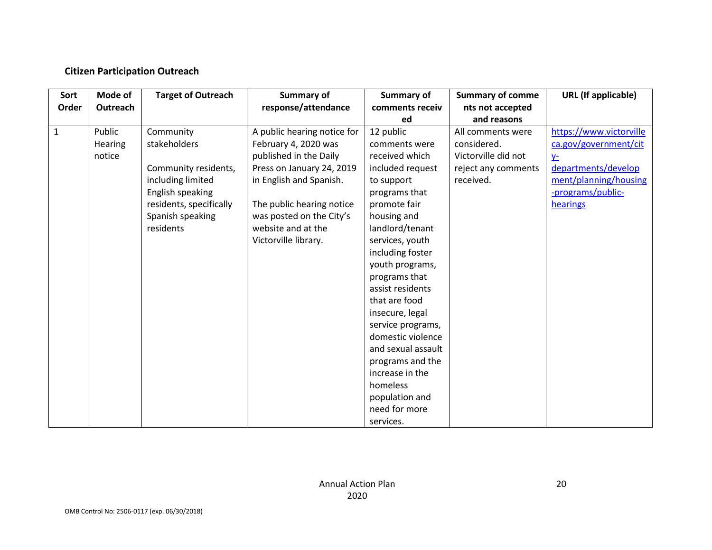## **Citizen Participation Outreach**

| Sort         | Mode of  | <b>Target of Outreach</b> | <b>Summary of</b>           | Summary of         | <b>Summary of comme</b> | <b>URL</b> (If applicable) |
|--------------|----------|---------------------------|-----------------------------|--------------------|-------------------------|----------------------------|
| Order        | Outreach |                           | response/attendance         | comments receiv    | nts not accepted        |                            |
|              |          |                           |                             | ed                 | and reasons             |                            |
| $\mathbf{1}$ | Public   | Community                 | A public hearing notice for | 12 public          | All comments were       | https://www.victorville    |
|              | Hearing  | stakeholders              | February 4, 2020 was        | comments were      | considered.             | ca.gov/government/cit      |
|              | notice   |                           | published in the Daily      | received which     | Victorville did not     | $V^-$                      |
|              |          | Community residents,      | Press on January 24, 2019   | included request   | reject any comments     | departments/develop        |
|              |          | including limited         | in English and Spanish.     | to support         | received.               | ment/planning/housing      |
|              |          | English speaking          |                             | programs that      |                         | -programs/public-          |
|              |          | residents, specifically   | The public hearing notice   | promote fair       |                         | hearings                   |
|              |          | Spanish speaking          | was posted on the City's    | housing and        |                         |                            |
|              |          | residents                 | website and at the          | landlord/tenant    |                         |                            |
|              |          |                           | Victorville library.        | services, youth    |                         |                            |
|              |          |                           |                             | including foster   |                         |                            |
|              |          |                           |                             | youth programs,    |                         |                            |
|              |          |                           |                             | programs that      |                         |                            |
|              |          |                           |                             | assist residents   |                         |                            |
|              |          |                           |                             | that are food      |                         |                            |
|              |          |                           |                             | insecure, legal    |                         |                            |
|              |          |                           |                             | service programs,  |                         |                            |
|              |          |                           |                             | domestic violence  |                         |                            |
|              |          |                           |                             | and sexual assault |                         |                            |
|              |          |                           |                             | programs and the   |                         |                            |
|              |          |                           |                             | increase in the    |                         |                            |
|              |          |                           |                             | homeless           |                         |                            |
|              |          |                           |                             | population and     |                         |                            |
|              |          |                           |                             | need for more      |                         |                            |
|              |          |                           |                             | services.          |                         |                            |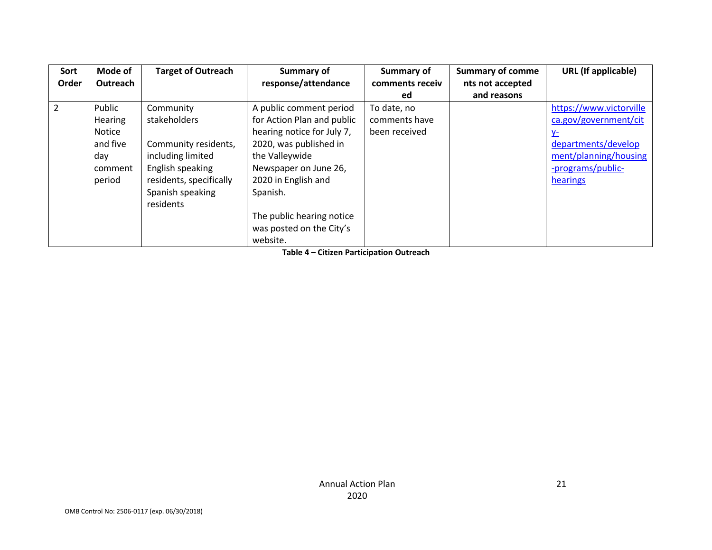| Sort<br>Order | Mode of<br>Outreach                                                        | <b>Target of Outreach</b>                                                                                                                              | Summary of<br>response/attendance                                                                                                                                                                                                                                | Summary of<br>comments receiv<br>ed           | <b>Summary of comme</b><br>nts not accepted<br>and reasons | <b>URL</b> (If applicable)                                                                                                              |
|---------------|----------------------------------------------------------------------------|--------------------------------------------------------------------------------------------------------------------------------------------------------|------------------------------------------------------------------------------------------------------------------------------------------------------------------------------------------------------------------------------------------------------------------|-----------------------------------------------|------------------------------------------------------------|-----------------------------------------------------------------------------------------------------------------------------------------|
| 2             | Public<br><b>Hearing</b><br>Notice<br>and five<br>day<br>comment<br>period | Community<br>stakeholders<br>Community residents,<br>including limited<br>English speaking<br>residents, specifically<br>Spanish speaking<br>residents | A public comment period<br>for Action Plan and public<br>hearing notice for July 7,<br>2020, was published in<br>the Valleywide<br>Newspaper on June 26,<br>2020 in English and<br>Spanish.<br>The public hearing notice<br>was posted on the City's<br>website. | To date, no<br>comments have<br>been received |                                                            | https://www.victorville<br>ca.gov/government/cit<br>V-<br>departments/develop<br>ment/planning/housing<br>-programs/public-<br>hearings |

**Table 4 – Citizen Participation Outreach**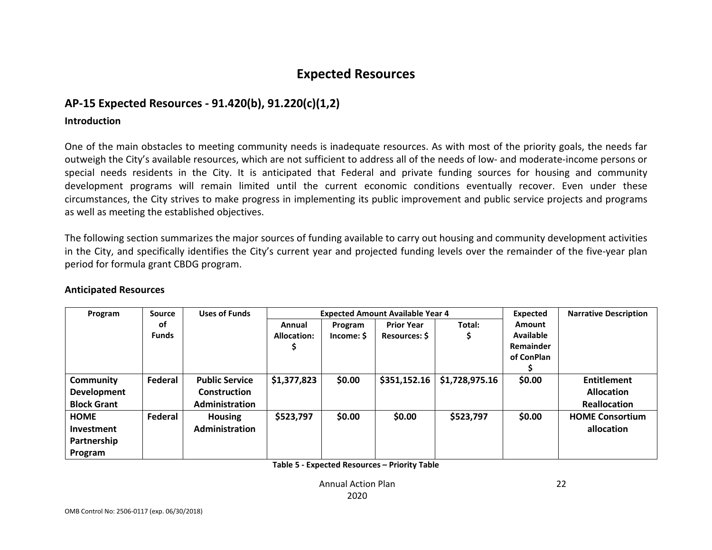# **Expected Resources**

## **AP-15 Expected Resources - 91.420(b), 91.220(c)(1,2)**

#### **Introduction**

One of the main obstacles to meeting community needs is inadequate resources. As with most of the priority goals, the needs far outweigh the City's available resources, which are not sufficient to address all of the needs of low- and moderate-income persons or special needs residents in the City. It is anticipated that Federal and private funding sources for housing and community development programs will remain limited until the current economic conditions eventually recover. Even under these circumstances, the City strives to make progress in implementing its public improvement and public service projects and programs as well as meeting the established objectives.

The following section summarizes the major sources of funding available to carry out housing and community development activities in the City, and specifically identifies the City's current year and projected funding levels over the remainder of the five-year plan period for formula grant CBDG program.

| Program            | <b>Source</b>  | <b>Uses of Funds</b>  |             | <b>Expected Amount Available Year 4</b> |                      |                |                  | <b>Narrative Description</b> |
|--------------------|----------------|-----------------------|-------------|-----------------------------------------|----------------------|----------------|------------------|------------------------------|
|                    | оf             |                       | Annual      | Program                                 | <b>Prior Year</b>    | Total:         | <b>Amount</b>    |                              |
|                    | <b>Funds</b>   |                       | Allocation: | Income: \$                              | <b>Resources: \$</b> |                | <b>Available</b> |                              |
|                    |                |                       |             |                                         |                      |                | <b>Remainder</b> |                              |
|                    |                |                       |             |                                         |                      |                | of ConPlan       |                              |
|                    |                |                       |             |                                         |                      |                |                  |                              |
| Community          | <b>Federal</b> | <b>Public Service</b> | \$1,377,823 | \$0.00                                  | \$351,152.16         | \$1,728,975.16 | \$0.00           | <b>Entitlement</b>           |
| <b>Development</b> |                | <b>Construction</b>   |             |                                         |                      |                |                  | <b>Allocation</b>            |
| <b>Block Grant</b> |                | Administration        |             |                                         |                      |                |                  | <b>Reallocation</b>          |
| <b>HOME</b>        | Federal        | <b>Housing</b>        | \$523,797   | \$0.00                                  | \$0.00               | \$523,797      | \$0.00           | <b>HOME Consortium</b>       |
| <b>Investment</b>  |                | <b>Administration</b> |             |                                         |                      |                |                  | allocation                   |
| Partnership        |                |                       |             |                                         |                      |                |                  |                              |
| Program            |                |                       |             |                                         |                      |                |                  |                              |

#### **Anticipated Resources**

**Table 5 - Expected Resources – Priority Table** 

Annual Action Plan2020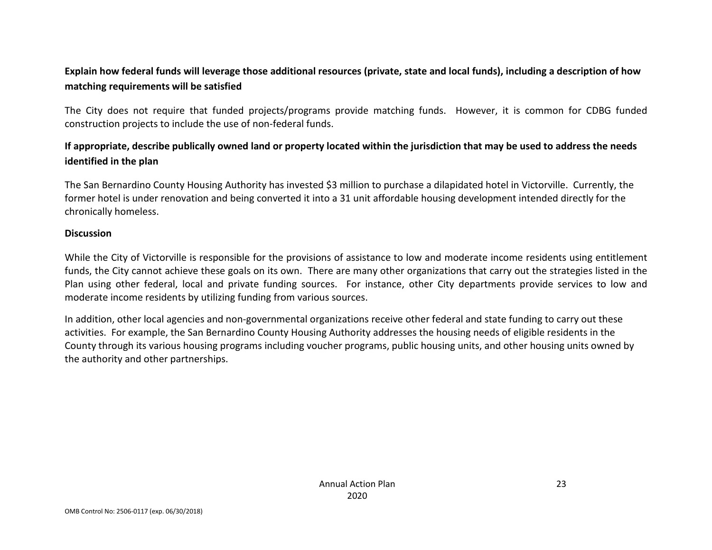# **Explain how federal funds will leverage those additional resources (private, state and local funds), including a description of how matching requirements will be satisfied**

The City does not require that funded projects/programs provide matching funds. However, it is common for CDBG funded construction projects to include the use of non-federal funds.

## **If appropriate, describe publically owned land or property located within the jurisdiction that may be used to address the needs identified in the plan**

The San Bernardino County Housing Authority has invested \$3 million to purchase a dilapidated hotel in Victorville. Currently, the former hotel is under renovation and being converted it into a 31 unit affordable housing development intended directly for the chronically homeless.

### **Discussion**

While the City of Victorville is responsible for the provisions of assistance to low and moderate income residents using entitlement funds, the City cannot achieve these goals on its own. There are many other organizations that carry out the strategies listed in the Plan using other federal, local and private funding sources. For instance, other City departments provide services to low and moderate income residents by utilizing funding from various sources.

In addition, other local agencies and non-governmental organizations receive other federal and state funding to carry out these activities. For example, the San Bernardino County Housing Authority addresses the housing needs of eligible residents in the County through its various housing programs including voucher programs, public housing units, and other housing units owned by the authority and other partnerships.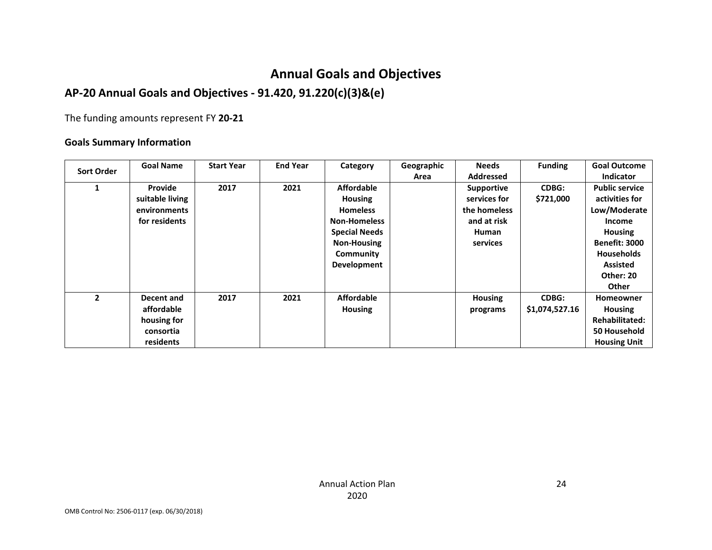# **Annual Goals and Objectives**

# **AP-20 Annual Goals and Objectives - 91.420, 91.220(c)(3)&(e)**

The funding amounts represent FY **20-21**

## **Goals Summary Information**

|                   | <b>Goal Name</b> | <b>Start Year</b> | <b>End Year</b> | Category             | Geographic | <b>Needs</b>      | <b>Funding</b> | <b>Goal Outcome</b>   |
|-------------------|------------------|-------------------|-----------------|----------------------|------------|-------------------|----------------|-----------------------|
| <b>Sort Order</b> |                  |                   |                 |                      | Area       | <b>Addressed</b>  |                | <b>Indicator</b>      |
|                   | Provide          | 2017              | 2021            | <b>Affordable</b>    |            | <b>Supportive</b> | <b>CDBG:</b>   | <b>Public service</b> |
|                   | suitable living  |                   |                 | <b>Housing</b>       |            | services for      | \$721,000      | activities for        |
|                   | environments     |                   |                 | <b>Homeless</b>      |            | the homeless      |                | Low/Moderate          |
|                   | for residents    |                   |                 | <b>Non-Homeless</b>  |            | and at risk       |                | Income                |
|                   |                  |                   |                 | <b>Special Needs</b> |            | Human             |                | <b>Housing</b>        |
|                   |                  |                   |                 | <b>Non-Housing</b>   |            | services          |                | <b>Benefit: 3000</b>  |
|                   |                  |                   |                 | Community            |            |                   |                | <b>Households</b>     |
|                   |                  |                   |                 | Development          |            |                   |                | <b>Assisted</b>       |
|                   |                  |                   |                 |                      |            |                   |                | Other: 20             |
|                   |                  |                   |                 |                      |            |                   |                | <b>Other</b>          |
| $\overline{2}$    | Decent and       | 2017              | 2021            | <b>Affordable</b>    |            | <b>Housing</b>    | <b>CDBG:</b>   | <b>Homeowner</b>      |
|                   | affordable       |                   |                 | <b>Housing</b>       |            | programs          | \$1,074,527.16 | <b>Housing</b>        |
|                   | housing for      |                   |                 |                      |            |                   |                | <b>Rehabilitated:</b> |
|                   | consortia        |                   |                 |                      |            |                   |                | 50 Household          |
|                   | residents        |                   |                 |                      |            |                   |                | <b>Housing Unit</b>   |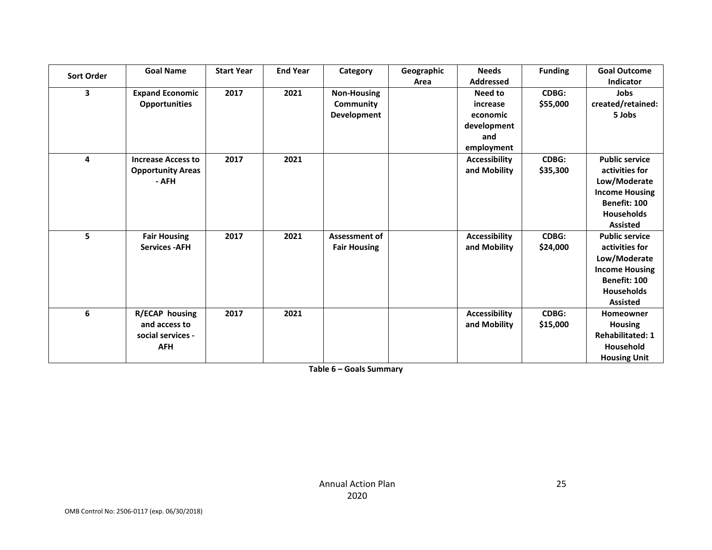| <b>Sort Order</b> | <b>Goal Name</b>                                                          | <b>Start Year</b> | <b>End Year</b> | Category                                       | Geographic<br>Area | <b>Needs</b><br>Addressed                                           | <b>Funding</b>           | <b>Goal Outcome</b><br><b>Indicator</b>                                                                                                  |
|-------------------|---------------------------------------------------------------------------|-------------------|-----------------|------------------------------------------------|--------------------|---------------------------------------------------------------------|--------------------------|------------------------------------------------------------------------------------------------------------------------------------------|
| 3                 | <b>Expand Economic</b><br><b>Opportunities</b>                            | 2017              | 2021            | <b>Non-Housing</b><br>Community<br>Development |                    | Need to<br>increase<br>economic<br>development<br>and<br>employment | CDBG:<br>\$55,000        | Jobs<br>created/retained:<br>5 Jobs                                                                                                      |
| 4                 | <b>Increase Access to</b><br><b>Opportunity Areas</b><br>- AFH            | 2017              | 2021            |                                                |                    | Accessibility<br>and Mobility                                       | <b>CDBG:</b><br>\$35,300 | <b>Public service</b><br>activities for<br>Low/Moderate<br><b>Income Housing</b><br>Benefit: 100<br><b>Households</b><br><b>Assisted</b> |
| 5                 | <b>Fair Housing</b><br><b>Services - AFH</b>                              | 2017              | 2021            | <b>Assessment of</b><br><b>Fair Housing</b>    |                    | <b>Accessibility</b><br>and Mobility                                | <b>CDBG:</b><br>\$24,000 | <b>Public service</b><br>activities for<br>Low/Moderate<br><b>Income Housing</b><br>Benefit: 100<br><b>Households</b><br><b>Assisted</b> |
| 6                 | <b>R/ECAP housing</b><br>and access to<br>social services -<br><b>AFH</b> | 2017              | 2021            |                                                |                    | <b>Accessibility</b><br>and Mobility                                | <b>CDBG:</b><br>\$15,000 | Homeowner<br><b>Housing</b><br><b>Rehabilitated: 1</b><br>Household<br><b>Housing Unit</b>                                               |

**Table 6 – Goals Summary**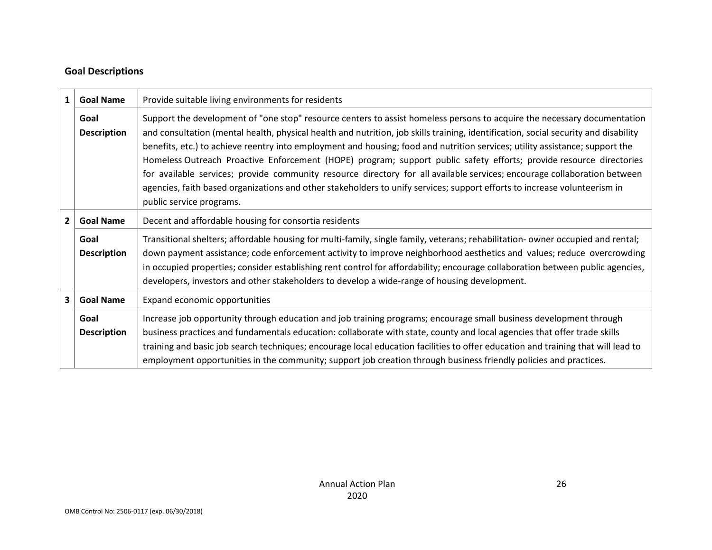## **Goal Descriptions**

| $\mathbf{1}$            | <b>Goal Name</b>           | Provide suitable living environments for residents                                                                                                                                                                                                                                                                                                                                                                                                                                                                                                                                                                                                                                                                                                                                                          |  |  |
|-------------------------|----------------------------|-------------------------------------------------------------------------------------------------------------------------------------------------------------------------------------------------------------------------------------------------------------------------------------------------------------------------------------------------------------------------------------------------------------------------------------------------------------------------------------------------------------------------------------------------------------------------------------------------------------------------------------------------------------------------------------------------------------------------------------------------------------------------------------------------------------|--|--|
|                         | Goal<br><b>Description</b> | Support the development of "one stop" resource centers to assist homeless persons to acquire the necessary documentation<br>and consultation (mental health, physical health and nutrition, job skills training, identification, social security and disability<br>benefits, etc.) to achieve reentry into employment and housing; food and nutrition services; utility assistance; support the<br>Homeless Outreach Proactive Enforcement (HOPE) program; support public safety efforts; provide resource directories<br>for available services; provide community resource directory for all available services; encourage collaboration between<br>agencies, faith based organizations and other stakeholders to unify services; support efforts to increase volunteerism in<br>public service programs. |  |  |
| $\overline{2}$          | <b>Goal Name</b>           | Decent and affordable housing for consortia residents                                                                                                                                                                                                                                                                                                                                                                                                                                                                                                                                                                                                                                                                                                                                                       |  |  |
|                         | Goal<br><b>Description</b> | Transitional shelters; affordable housing for multi-family, single family, veterans; rehabilitation- owner occupied and rental;<br>down payment assistance; code enforcement activity to improve neighborhood aesthetics and values; reduce overcrowding<br>in occupied properties; consider establishing rent control for affordability; encourage collaboration between public agencies,<br>developers, investors and other stakeholders to develop a wide-range of housing development.                                                                                                                                                                                                                                                                                                                  |  |  |
| $\overline{\mathbf{3}}$ | <b>Goal Name</b>           | Expand economic opportunities                                                                                                                                                                                                                                                                                                                                                                                                                                                                                                                                                                                                                                                                                                                                                                               |  |  |
|                         | Goal<br><b>Description</b> | Increase job opportunity through education and job training programs; encourage small business development through<br>business practices and fundamentals education: collaborate with state, county and local agencies that offer trade skills<br>training and basic job search techniques; encourage local education facilities to offer education and training that will lead to<br>employment opportunities in the community; support job creation through business friendly policies and practices.                                                                                                                                                                                                                                                                                                     |  |  |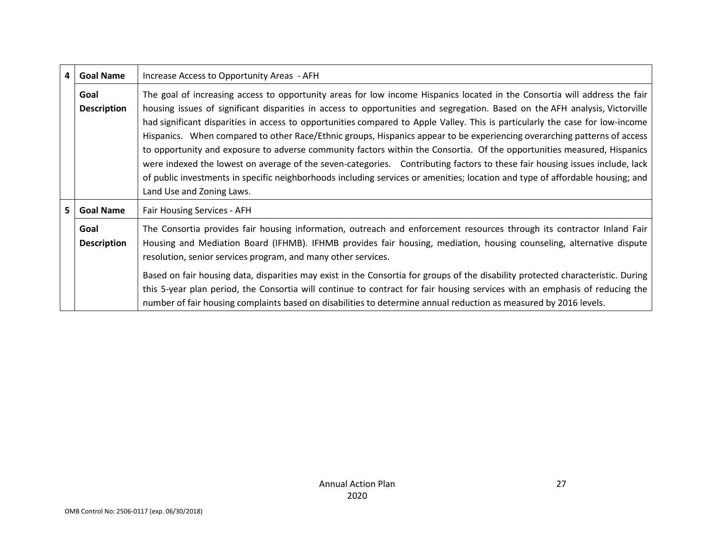| 4 <sup>1</sup> | <b>Goal Name</b>                                                                                                                                                                                                                                                                                                                                                                                                                                                                                                                                                                                                                                                                                                                                                                                                                                                                                                                                                              | Increase Access to Opportunity Areas - AFH                                                                                                                                                                                                                                                                                                                                           |  |  |
|----------------|-------------------------------------------------------------------------------------------------------------------------------------------------------------------------------------------------------------------------------------------------------------------------------------------------------------------------------------------------------------------------------------------------------------------------------------------------------------------------------------------------------------------------------------------------------------------------------------------------------------------------------------------------------------------------------------------------------------------------------------------------------------------------------------------------------------------------------------------------------------------------------------------------------------------------------------------------------------------------------|--------------------------------------------------------------------------------------------------------------------------------------------------------------------------------------------------------------------------------------------------------------------------------------------------------------------------------------------------------------------------------------|--|--|
|                | The goal of increasing access to opportunity areas for low income Hispanics located in the Consortia will address the fair<br>Goal<br><b>Description</b><br>housing issues of significant disparities in access to opportunities and segregation. Based on the AFH analysis, Victorville<br>had significant disparities in access to opportunities compared to Apple Valley. This is particularly the case for low-income<br>Hispanics. When compared to other Race/Ethnic groups, Hispanics appear to be experiencing overarching patterns of access<br>to opportunity and exposure to adverse community factors within the Consortia. Of the opportunities measured, Hispanics<br>were indexed the lowest on average of the seven-categories. Contributing factors to these fair housing issues include, lack<br>of public investments in specific neighborhoods including services or amenities; location and type of affordable housing; and<br>Land Use and Zoning Laws. |                                                                                                                                                                                                                                                                                                                                                                                      |  |  |
| 5 <sup>1</sup> | <b>Goal Name</b>                                                                                                                                                                                                                                                                                                                                                                                                                                                                                                                                                                                                                                                                                                                                                                                                                                                                                                                                                              | Fair Housing Services - AFH                                                                                                                                                                                                                                                                                                                                                          |  |  |
|                | Goal<br>The Consortia provides fair housing information, outreach and enforcement resources through its contractor Inland Fair<br>Housing and Mediation Board (IFHMB). IFHMB provides fair housing, mediation, housing counseling, alternative dispute<br><b>Description</b><br>resolution, senior services program, and many other services.                                                                                                                                                                                                                                                                                                                                                                                                                                                                                                                                                                                                                                 |                                                                                                                                                                                                                                                                                                                                                                                      |  |  |
|                |                                                                                                                                                                                                                                                                                                                                                                                                                                                                                                                                                                                                                                                                                                                                                                                                                                                                                                                                                                               | Based on fair housing data, disparities may exist in the Consortia for groups of the disability protected characteristic. During<br>this 5-year plan period, the Consortia will continue to contract for fair housing services with an emphasis of reducing the<br>number of fair housing complaints based on disabilities to determine annual reduction as measured by 2016 levels. |  |  |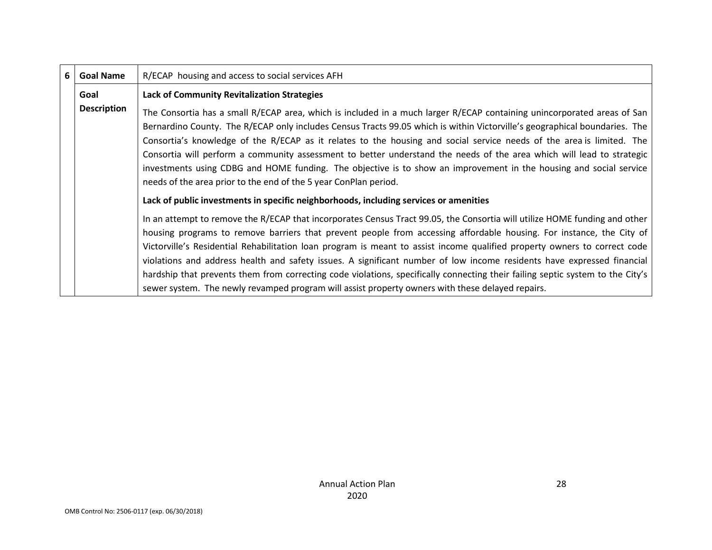| 6 <sup>1</sup>     | <b>Goal Name</b> | R/ECAP housing and access to social services AFH                                                                                                                                                                                                                                                                                                                                                                                                                                                                                                                                                                                                                                                                                                |
|--------------------|------------------|-------------------------------------------------------------------------------------------------------------------------------------------------------------------------------------------------------------------------------------------------------------------------------------------------------------------------------------------------------------------------------------------------------------------------------------------------------------------------------------------------------------------------------------------------------------------------------------------------------------------------------------------------------------------------------------------------------------------------------------------------|
|                    | Goal             | <b>Lack of Community Revitalization Strategies</b>                                                                                                                                                                                                                                                                                                                                                                                                                                                                                                                                                                                                                                                                                              |
| <b>Description</b> |                  | The Consortia has a small R/ECAP area, which is included in a much larger R/ECAP containing unincorporated areas of San<br>Bernardino County. The R/ECAP only includes Census Tracts 99.05 which is within Victorville's geographical boundaries. The<br>Consortia's knowledge of the R/ECAP as it relates to the housing and social service needs of the area is limited. The<br>Consortia will perform a community assessment to better understand the needs of the area which will lead to strategic<br>investments using CDBG and HOME funding. The objective is to show an improvement in the housing and social service<br>needs of the area prior to the end of the 5 year ConPlan period.                                               |
|                    |                  | Lack of public investments in specific neighborhoods, including services or amenities                                                                                                                                                                                                                                                                                                                                                                                                                                                                                                                                                                                                                                                           |
|                    |                  | In an attempt to remove the R/ECAP that incorporates Census Tract 99.05, the Consortia will utilize HOME funding and other<br>housing programs to remove barriers that prevent people from accessing affordable housing. For instance, the City of<br>Victorville's Residential Rehabilitation loan program is meant to assist income qualified property owners to correct code<br>violations and address health and safety issues. A significant number of low income residents have expressed financial<br>hardship that prevents them from correcting code violations, specifically connecting their failing septic system to the City's<br>sewer system. The newly revamped program will assist property owners with these delayed repairs. |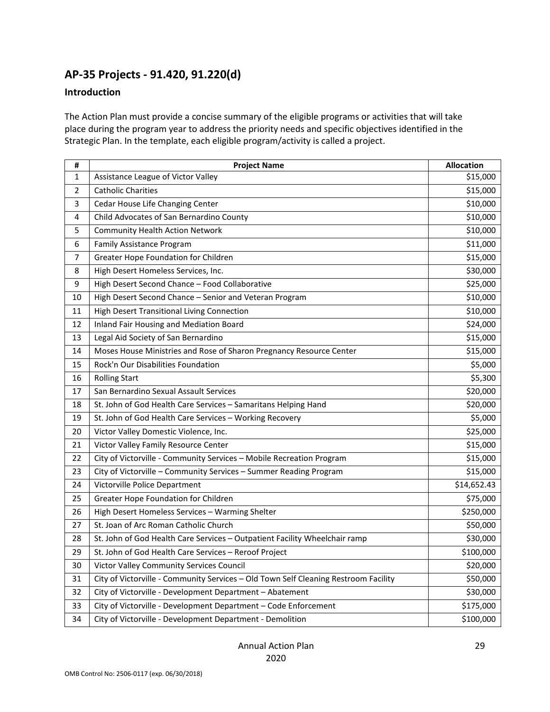# **AP-35 Projects - 91.420, 91.220(d)**

### **Introduction**

The Action Plan must provide a concise summary of the eligible programs or activities that will take place during the program year to address the priority needs and specific objectives identified in the Strategic Plan. In the template, each eligible program/activity is called a project.

| #           | <b>Project Name</b>                                                                 | <b>Allocation</b> |
|-------------|-------------------------------------------------------------------------------------|-------------------|
| $\mathbf 1$ | Assistance League of Victor Valley                                                  | \$15,000          |
| 2           | <b>Catholic Charities</b>                                                           | \$15,000          |
| 3           | Cedar House Life Changing Center                                                    | \$10,000          |
| 4           | Child Advocates of San Bernardino County                                            | \$10,000          |
| 5           | <b>Community Health Action Network</b>                                              | \$10,000          |
| 6           | <b>Family Assistance Program</b>                                                    | \$11,000          |
| 7           | Greater Hope Foundation for Children                                                | \$15,000          |
| 8           | High Desert Homeless Services, Inc.                                                 | \$30,000          |
| 9           | High Desert Second Chance - Food Collaborative                                      | \$25,000          |
| 10          | High Desert Second Chance - Senior and Veteran Program                              | \$10,000          |
| 11          | High Desert Transitional Living Connection                                          | \$10,000          |
| 12          | <b>Inland Fair Housing and Mediation Board</b>                                      | \$24,000          |
| 13          | Legal Aid Society of San Bernardino                                                 | \$15,000          |
| 14          | Moses House Ministries and Rose of Sharon Pregnancy Resource Center                 | \$15,000          |
| 15          | Rock'n Our Disabilities Foundation                                                  | \$5,000           |
| 16          | <b>Rolling Start</b>                                                                | \$5,300           |
| 17          | San Bernardino Sexual Assault Services                                              | \$20,000          |
| 18          | St. John of God Health Care Services - Samaritans Helping Hand                      | \$20,000          |
| 19          | St. John of God Health Care Services - Working Recovery                             | \$5,000           |
| 20          | Victor Valley Domestic Violence, Inc.                                               | \$25,000          |
| 21          | Victor Valley Family Resource Center                                                | \$15,000          |
| 22          | City of Victorville - Community Services - Mobile Recreation Program                | \$15,000          |
| 23          | City of Victorville - Community Services - Summer Reading Program                   | \$15,000          |
| 24          | Victorville Police Department                                                       | \$14,652.43       |
| 25          | Greater Hope Foundation for Children                                                | \$75,000          |
| 26          | High Desert Homeless Services - Warming Shelter                                     | \$250,000         |
| 27          | St. Joan of Arc Roman Catholic Church                                               | \$50,000          |
| 28          | St. John of God Health Care Services - Outpatient Facility Wheelchair ramp          | \$30,000          |
| 29          | St. John of God Health Care Services - Reroof Project                               | \$100,000         |
| 30          | Victor Valley Community Services Council                                            | \$20,000          |
| 31          | City of Victorville - Community Services - Old Town Self Cleaning Restroom Facility | \$50,000          |
| 32          | City of Victorville - Development Department - Abatement                            | \$30,000          |
| 33          | City of Victorville - Development Department - Code Enforcement                     | \$175,000         |
| 34          | City of Victorville - Development Department - Demolition                           | \$100,000         |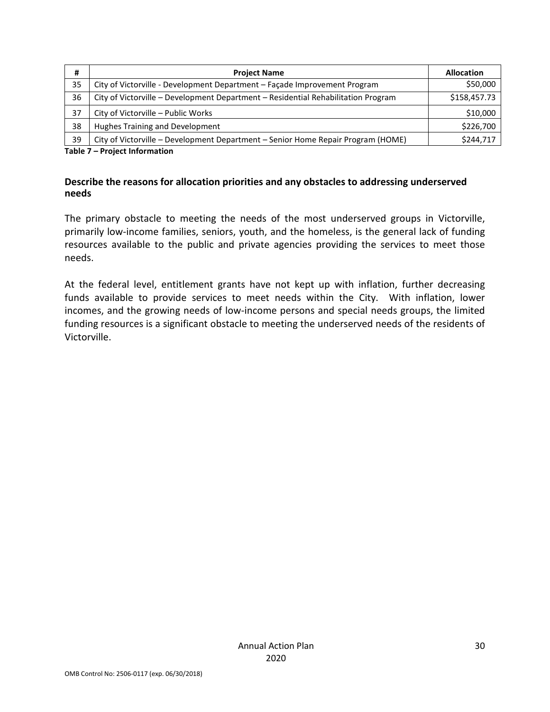| #  | <b>Project Name</b>                                                               | <b>Allocation</b> |
|----|-----------------------------------------------------------------------------------|-------------------|
| 35 | City of Victorville - Development Department – Façade Improvement Program         | \$50,000          |
| 36 | City of Victorville - Development Department - Residential Rehabilitation Program | \$158,457.73      |
| 37 | City of Victorville - Public Works                                                | \$10,000          |
| 38 | Hughes Training and Development                                                   | \$226,700         |
| 39 | City of Victorville – Development Department – Senior Home Repair Program (HOME)  | \$244,717         |

**Table 7 – Project Information** 

### **Describe the reasons for allocation priorities and any obstacles to addressing underserved needs**

The primary obstacle to meeting the needs of the most underserved groups in Victorville, primarily low-income families, seniors, youth, and the homeless, is the general lack of funding resources available to the public and private agencies providing the services to meet those needs.

At the federal level, entitlement grants have not kept up with inflation, further decreasing funds available to provide services to meet needs within the City. With inflation, lower incomes, and the growing needs of low-income persons and special needs groups, the limited funding resources is a significant obstacle to meeting the underserved needs of the residents of Victorville.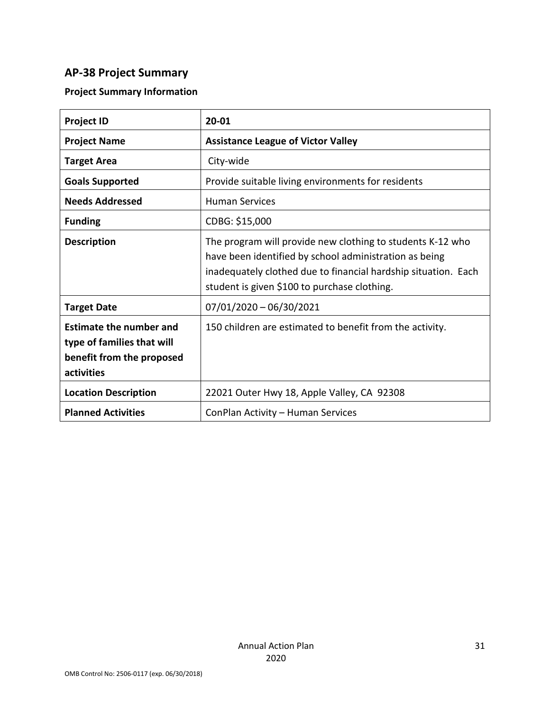# **AP-38 Project Summary**

# **Project Summary Information**

| <b>Project ID</b>                                                                                       | 20-01                                                                                                                                                                                                                                  |
|---------------------------------------------------------------------------------------------------------|----------------------------------------------------------------------------------------------------------------------------------------------------------------------------------------------------------------------------------------|
| <b>Project Name</b>                                                                                     | <b>Assistance League of Victor Valley</b>                                                                                                                                                                                              |
| <b>Target Area</b>                                                                                      | City-wide                                                                                                                                                                                                                              |
| <b>Goals Supported</b>                                                                                  | Provide suitable living environments for residents                                                                                                                                                                                     |
| <b>Needs Addressed</b>                                                                                  | <b>Human Services</b>                                                                                                                                                                                                                  |
| <b>Funding</b>                                                                                          | CDBG: \$15,000                                                                                                                                                                                                                         |
| <b>Description</b>                                                                                      | The program will provide new clothing to students K-12 who<br>have been identified by school administration as being<br>inadequately clothed due to financial hardship situation. Each<br>student is given \$100 to purchase clothing. |
| <b>Target Date</b>                                                                                      | $07/01/2020 - 06/30/2021$                                                                                                                                                                                                              |
| <b>Estimate the number and</b><br>type of families that will<br>benefit from the proposed<br>activities | 150 children are estimated to benefit from the activity.                                                                                                                                                                               |
| <b>Location Description</b>                                                                             | 22021 Outer Hwy 18, Apple Valley, CA 92308                                                                                                                                                                                             |
| <b>Planned Activities</b>                                                                               | ConPlan Activity - Human Services                                                                                                                                                                                                      |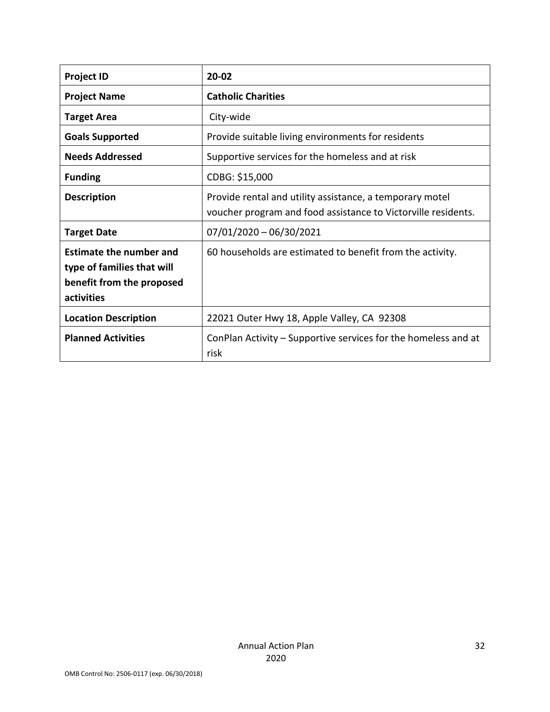| <b>Project ID</b>                                                                                       | $20 - 02$                                                                                                                 |
|---------------------------------------------------------------------------------------------------------|---------------------------------------------------------------------------------------------------------------------------|
| <b>Project Name</b>                                                                                     | <b>Catholic Charities</b>                                                                                                 |
| <b>Target Area</b>                                                                                      | City-wide                                                                                                                 |
| <b>Goals Supported</b>                                                                                  | Provide suitable living environments for residents                                                                        |
| <b>Needs Addressed</b>                                                                                  | Supportive services for the homeless and at risk                                                                          |
| <b>Funding</b>                                                                                          | CDBG: \$15,000                                                                                                            |
| <b>Description</b>                                                                                      | Provide rental and utility assistance, a temporary motel<br>voucher program and food assistance to Victorville residents. |
| <b>Target Date</b>                                                                                      | $07/01/2020 - 06/30/2021$                                                                                                 |
| <b>Estimate the number and</b><br>type of families that will<br>benefit from the proposed<br>activities | 60 households are estimated to benefit from the activity.                                                                 |
| <b>Location Description</b>                                                                             | 22021 Outer Hwy 18, Apple Valley, CA 92308                                                                                |
| <b>Planned Activities</b>                                                                               | ConPlan Activity – Supportive services for the homeless and at<br>risk                                                    |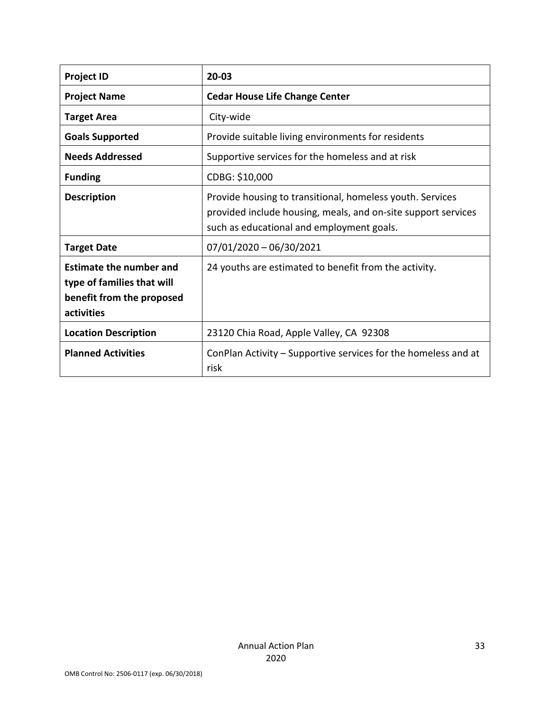| <b>Project ID</b>                                                                                       | 20-03                                                                                                                                                                   |
|---------------------------------------------------------------------------------------------------------|-------------------------------------------------------------------------------------------------------------------------------------------------------------------------|
| <b>Project Name</b>                                                                                     | <b>Cedar House Life Change Center</b>                                                                                                                                   |
| <b>Target Area</b>                                                                                      | City-wide                                                                                                                                                               |
| <b>Goals Supported</b>                                                                                  | Provide suitable living environments for residents                                                                                                                      |
| <b>Needs Addressed</b>                                                                                  | Supportive services for the homeless and at risk                                                                                                                        |
| <b>Funding</b>                                                                                          | CDBG: \$10,000                                                                                                                                                          |
| <b>Description</b>                                                                                      | Provide housing to transitional, homeless youth. Services<br>provided include housing, meals, and on-site support services<br>such as educational and employment goals. |
| <b>Target Date</b>                                                                                      | $07/01/2020 - 06/30/2021$                                                                                                                                               |
| <b>Estimate the number and</b><br>type of families that will<br>benefit from the proposed<br>activities | 24 youths are estimated to benefit from the activity.                                                                                                                   |
| <b>Location Description</b>                                                                             | 23120 Chia Road, Apple Valley, CA 92308                                                                                                                                 |
| <b>Planned Activities</b>                                                                               | ConPlan Activity – Supportive services for the homeless and at<br>risk                                                                                                  |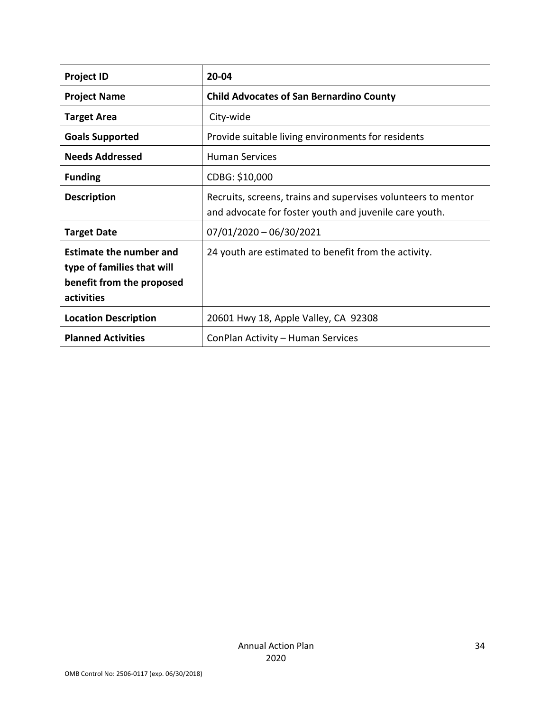| <b>Project ID</b>                                                                                       | $20 - 04$                                                                                                               |
|---------------------------------------------------------------------------------------------------------|-------------------------------------------------------------------------------------------------------------------------|
| <b>Project Name</b>                                                                                     | <b>Child Advocates of San Bernardino County</b>                                                                         |
| <b>Target Area</b>                                                                                      | City-wide                                                                                                               |
| <b>Goals Supported</b>                                                                                  | Provide suitable living environments for residents                                                                      |
| <b>Needs Addressed</b>                                                                                  | <b>Human Services</b>                                                                                                   |
| <b>Funding</b>                                                                                          | CDBG: \$10,000                                                                                                          |
| <b>Description</b>                                                                                      | Recruits, screens, trains and supervises volunteers to mentor<br>and advocate for foster youth and juvenile care youth. |
| <b>Target Date</b>                                                                                      | $07/01/2020 - 06/30/2021$                                                                                               |
| <b>Estimate the number and</b><br>type of families that will<br>benefit from the proposed<br>activities | 24 youth are estimated to benefit from the activity.                                                                    |
| <b>Location Description</b>                                                                             | 20601 Hwy 18, Apple Valley, CA 92308                                                                                    |
| <b>Planned Activities</b>                                                                               | ConPlan Activity - Human Services                                                                                       |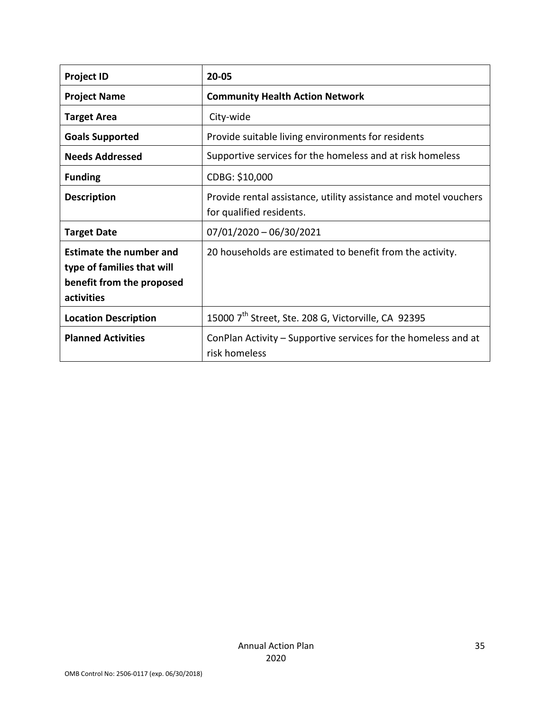| <b>Project ID</b>                                                                                       | $20 - 05$                                                                                    |
|---------------------------------------------------------------------------------------------------------|----------------------------------------------------------------------------------------------|
| <b>Project Name</b>                                                                                     | <b>Community Health Action Network</b>                                                       |
| <b>Target Area</b>                                                                                      | City-wide                                                                                    |
| <b>Goals Supported</b>                                                                                  | Provide suitable living environments for residents                                           |
| <b>Needs Addressed</b>                                                                                  | Supportive services for the homeless and at risk homeless                                    |
| <b>Funding</b>                                                                                          | CDBG: \$10,000                                                                               |
| <b>Description</b>                                                                                      | Provide rental assistance, utility assistance and motel vouchers<br>for qualified residents. |
| <b>Target Date</b>                                                                                      | $07/01/2020 - 06/30/2021$                                                                    |
| <b>Estimate the number and</b><br>type of families that will<br>benefit from the proposed<br>activities | 20 households are estimated to benefit from the activity.                                    |
| <b>Location Description</b>                                                                             | 15000 7 <sup>th</sup> Street, Ste. 208 G, Victorville, CA 92395                              |
| <b>Planned Activities</b>                                                                               | ConPlan Activity – Supportive services for the homeless and at<br>risk homeless              |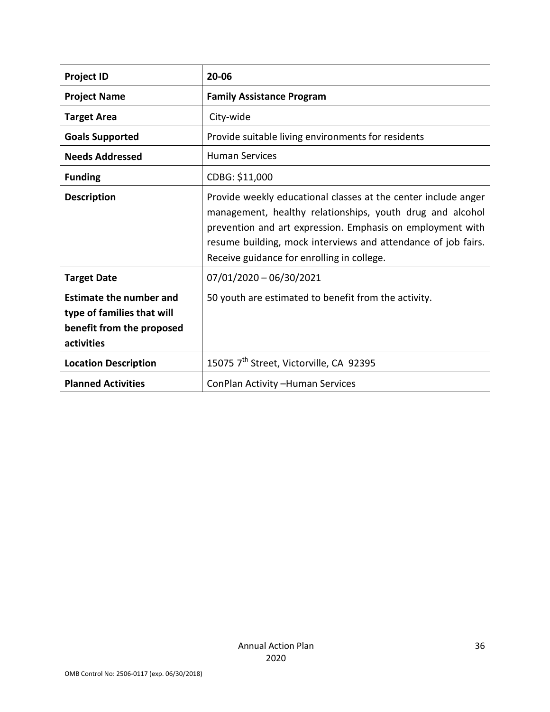| <b>Project ID</b>                                                                                       | 20-06                                                                                                                                                                                                                                                                                                    |
|---------------------------------------------------------------------------------------------------------|----------------------------------------------------------------------------------------------------------------------------------------------------------------------------------------------------------------------------------------------------------------------------------------------------------|
| <b>Project Name</b>                                                                                     | <b>Family Assistance Program</b>                                                                                                                                                                                                                                                                         |
| <b>Target Area</b>                                                                                      | City-wide                                                                                                                                                                                                                                                                                                |
| <b>Goals Supported</b>                                                                                  | Provide suitable living environments for residents                                                                                                                                                                                                                                                       |
| <b>Needs Addressed</b>                                                                                  | <b>Human Services</b>                                                                                                                                                                                                                                                                                    |
| <b>Funding</b>                                                                                          | CDBG: \$11,000                                                                                                                                                                                                                                                                                           |
| <b>Description</b>                                                                                      | Provide weekly educational classes at the center include anger<br>management, healthy relationships, youth drug and alcohol<br>prevention and art expression. Emphasis on employment with<br>resume building, mock interviews and attendance of job fairs.<br>Receive guidance for enrolling in college. |
| <b>Target Date</b>                                                                                      | $07/01/2020 - 06/30/2021$                                                                                                                                                                                                                                                                                |
| <b>Estimate the number and</b><br>type of families that will<br>benefit from the proposed<br>activities | 50 youth are estimated to benefit from the activity.                                                                                                                                                                                                                                                     |
| <b>Location Description</b>                                                                             | 15075 7 <sup>th</sup> Street, Victorville, CA 92395                                                                                                                                                                                                                                                      |
| <b>Planned Activities</b>                                                                               | ConPlan Activity - Human Services                                                                                                                                                                                                                                                                        |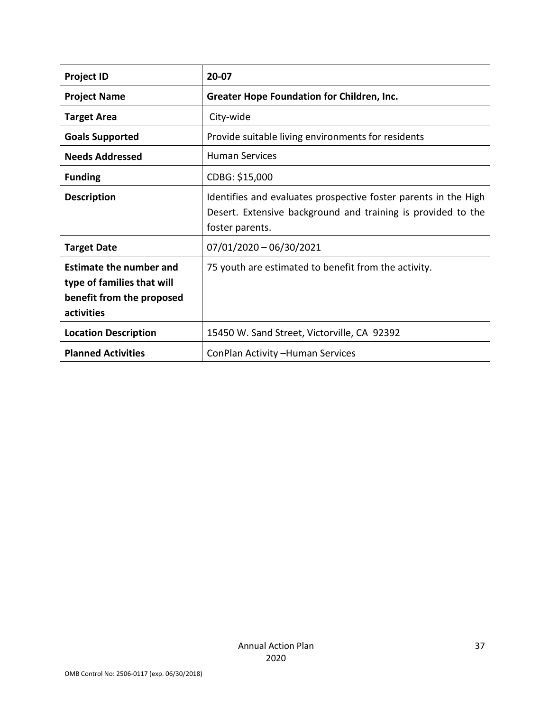| <b>Project ID</b>                                                                                       | 20-07                                                                                                                                              |
|---------------------------------------------------------------------------------------------------------|----------------------------------------------------------------------------------------------------------------------------------------------------|
| <b>Project Name</b>                                                                                     | <b>Greater Hope Foundation for Children, Inc.</b>                                                                                                  |
| <b>Target Area</b>                                                                                      | City-wide                                                                                                                                          |
| <b>Goals Supported</b>                                                                                  | Provide suitable living environments for residents                                                                                                 |
| <b>Needs Addressed</b>                                                                                  | <b>Human Services</b>                                                                                                                              |
| <b>Funding</b>                                                                                          | CDBG: \$15,000                                                                                                                                     |
| <b>Description</b>                                                                                      | Identifies and evaluates prospective foster parents in the High<br>Desert. Extensive background and training is provided to the<br>foster parents. |
| <b>Target Date</b>                                                                                      | $07/01/2020 - 06/30/2021$                                                                                                                          |
| <b>Estimate the number and</b><br>type of families that will<br>benefit from the proposed<br>activities | 75 youth are estimated to benefit from the activity.                                                                                               |
| <b>Location Description</b>                                                                             | 15450 W. Sand Street, Victorville, CA 92392                                                                                                        |
| <b>Planned Activities</b>                                                                               | ConPlan Activity - Human Services                                                                                                                  |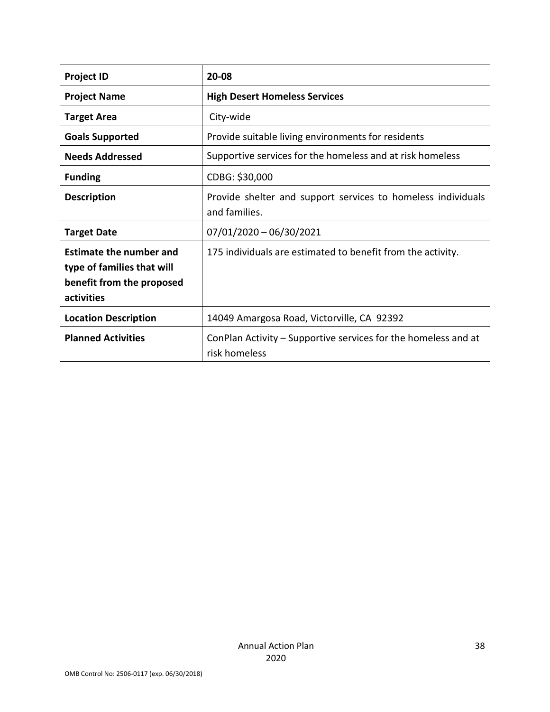| <b>Project ID</b>                                                                                       | 20-08                                                                           |
|---------------------------------------------------------------------------------------------------------|---------------------------------------------------------------------------------|
| <b>Project Name</b>                                                                                     | <b>High Desert Homeless Services</b>                                            |
| <b>Target Area</b>                                                                                      | City-wide                                                                       |
| <b>Goals Supported</b>                                                                                  | Provide suitable living environments for residents                              |
| <b>Needs Addressed</b>                                                                                  | Supportive services for the homeless and at risk homeless                       |
| <b>Funding</b>                                                                                          | CDBG: \$30,000                                                                  |
| <b>Description</b>                                                                                      | Provide shelter and support services to homeless individuals<br>and families.   |
| <b>Target Date</b>                                                                                      | $07/01/2020 - 06/30/2021$                                                       |
| <b>Estimate the number and</b><br>type of families that will<br>benefit from the proposed<br>activities | 175 individuals are estimated to benefit from the activity.                     |
| <b>Location Description</b>                                                                             | 14049 Amargosa Road, Victorville, CA 92392                                      |
| <b>Planned Activities</b>                                                                               | ConPlan Activity – Supportive services for the homeless and at<br>risk homeless |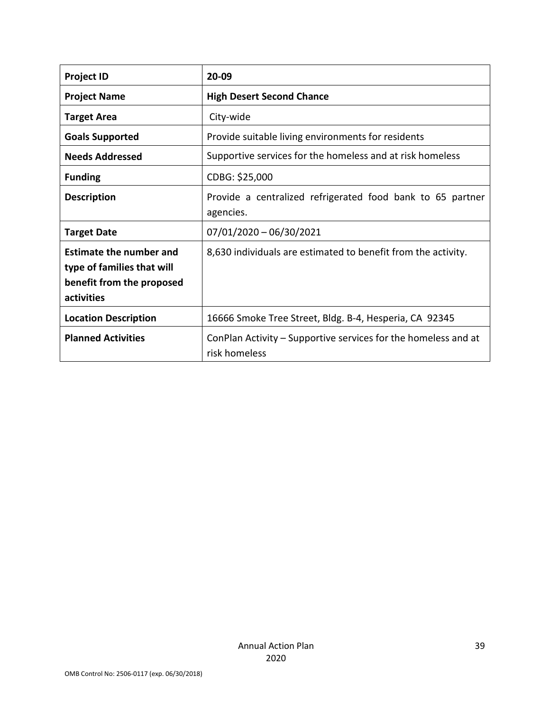| <b>Project ID</b>                                                                                       | 20-09                                                                           |
|---------------------------------------------------------------------------------------------------------|---------------------------------------------------------------------------------|
| <b>Project Name</b>                                                                                     | <b>High Desert Second Chance</b>                                                |
| <b>Target Area</b>                                                                                      | City-wide                                                                       |
| <b>Goals Supported</b>                                                                                  | Provide suitable living environments for residents                              |
| <b>Needs Addressed</b>                                                                                  | Supportive services for the homeless and at risk homeless                       |
| <b>Funding</b>                                                                                          | CDBG: \$25,000                                                                  |
| <b>Description</b>                                                                                      | Provide a centralized refrigerated food bank to 65 partner<br>agencies.         |
| <b>Target Date</b>                                                                                      | $07/01/2020 - 06/30/2021$                                                       |
| <b>Estimate the number and</b><br>type of families that will<br>benefit from the proposed<br>activities | 8,630 individuals are estimated to benefit from the activity.                   |
| <b>Location Description</b>                                                                             | 16666 Smoke Tree Street, Bldg. B-4, Hesperia, CA 92345                          |
| <b>Planned Activities</b>                                                                               | ConPlan Activity – Supportive services for the homeless and at<br>risk homeless |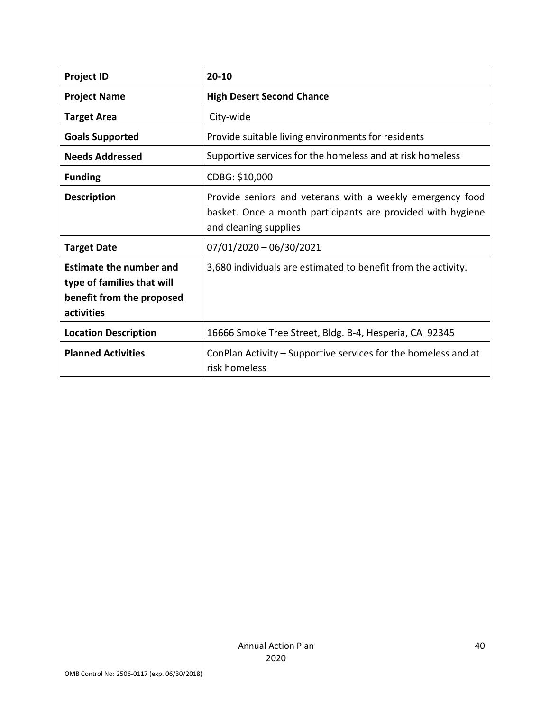| <b>Project ID</b>                                                                                       | $20 - 10$                                                                                                                                         |
|---------------------------------------------------------------------------------------------------------|---------------------------------------------------------------------------------------------------------------------------------------------------|
| <b>Project Name</b>                                                                                     | <b>High Desert Second Chance</b>                                                                                                                  |
| <b>Target Area</b>                                                                                      | City-wide                                                                                                                                         |
| <b>Goals Supported</b>                                                                                  | Provide suitable living environments for residents                                                                                                |
| <b>Needs Addressed</b>                                                                                  | Supportive services for the homeless and at risk homeless                                                                                         |
| <b>Funding</b>                                                                                          | CDBG: \$10,000                                                                                                                                    |
| <b>Description</b>                                                                                      | Provide seniors and veterans with a weekly emergency food<br>basket. Once a month participants are provided with hygiene<br>and cleaning supplies |
| <b>Target Date</b>                                                                                      | $07/01/2020 - 06/30/2021$                                                                                                                         |
| <b>Estimate the number and</b><br>type of families that will<br>benefit from the proposed<br>activities | 3,680 individuals are estimated to benefit from the activity.                                                                                     |
| <b>Location Description</b>                                                                             | 16666 Smoke Tree Street, Bldg. B-4, Hesperia, CA 92345                                                                                            |
| <b>Planned Activities</b>                                                                               | ConPlan Activity – Supportive services for the homeless and at<br>risk homeless                                                                   |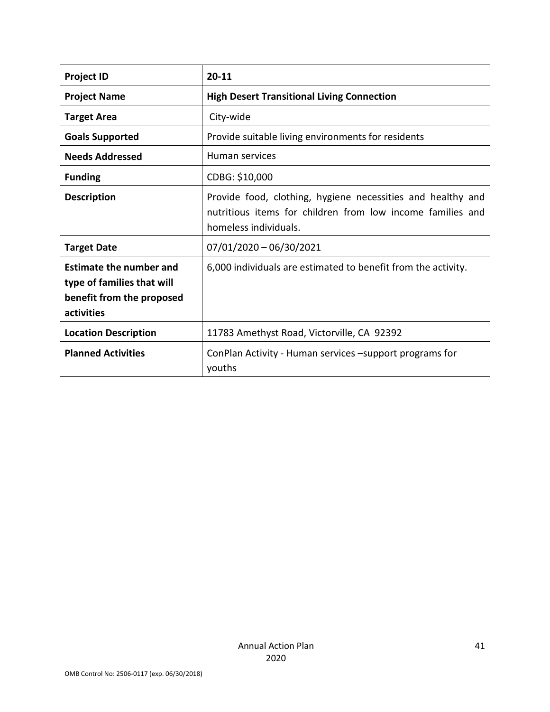| <b>Project ID</b>                                                                                       | $20 - 11$                                                                                                                                          |
|---------------------------------------------------------------------------------------------------------|----------------------------------------------------------------------------------------------------------------------------------------------------|
| <b>Project Name</b>                                                                                     | <b>High Desert Transitional Living Connection</b>                                                                                                  |
| <b>Target Area</b>                                                                                      | City-wide                                                                                                                                          |
| <b>Goals Supported</b>                                                                                  | Provide suitable living environments for residents                                                                                                 |
| <b>Needs Addressed</b>                                                                                  | Human services                                                                                                                                     |
| <b>Funding</b>                                                                                          | CDBG: \$10,000                                                                                                                                     |
| <b>Description</b>                                                                                      | Provide food, clothing, hygiene necessities and healthy and<br>nutritious items for children from low income families and<br>homeless individuals. |
| <b>Target Date</b>                                                                                      | 07/01/2020 - 06/30/2021                                                                                                                            |
| <b>Estimate the number and</b><br>type of families that will<br>benefit from the proposed<br>activities | 6,000 individuals are estimated to benefit from the activity.                                                                                      |
| <b>Location Description</b>                                                                             | 11783 Amethyst Road, Victorville, CA 92392                                                                                                         |
| <b>Planned Activities</b>                                                                               | ConPlan Activity - Human services -support programs for<br>youths                                                                                  |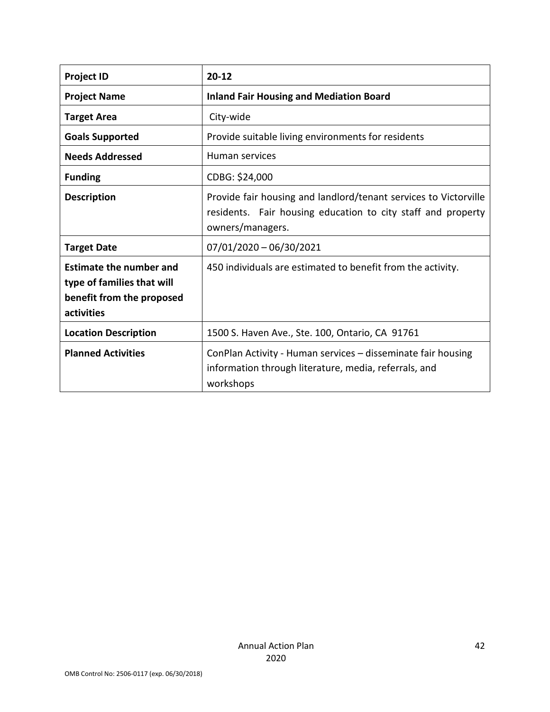| <b>Project ID</b>                                                                                       | $20 - 12$                                                                                                                                            |
|---------------------------------------------------------------------------------------------------------|------------------------------------------------------------------------------------------------------------------------------------------------------|
| <b>Project Name</b>                                                                                     | <b>Inland Fair Housing and Mediation Board</b>                                                                                                       |
| <b>Target Area</b>                                                                                      | City-wide                                                                                                                                            |
| <b>Goals Supported</b>                                                                                  | Provide suitable living environments for residents                                                                                                   |
| <b>Needs Addressed</b>                                                                                  | Human services                                                                                                                                       |
| <b>Funding</b>                                                                                          | CDBG: \$24,000                                                                                                                                       |
| <b>Description</b>                                                                                      | Provide fair housing and landlord/tenant services to Victorville<br>residents. Fair housing education to city staff and property<br>owners/managers. |
| <b>Target Date</b>                                                                                      | $07/01/2020 - 06/30/2021$                                                                                                                            |
| <b>Estimate the number and</b><br>type of families that will<br>benefit from the proposed<br>activities | 450 individuals are estimated to benefit from the activity.                                                                                          |
| <b>Location Description</b>                                                                             | 1500 S. Haven Ave., Ste. 100, Ontario, CA 91761                                                                                                      |
| <b>Planned Activities</b>                                                                               | ConPlan Activity - Human services - disseminate fair housing<br>information through literature, media, referrals, and<br>workshops                   |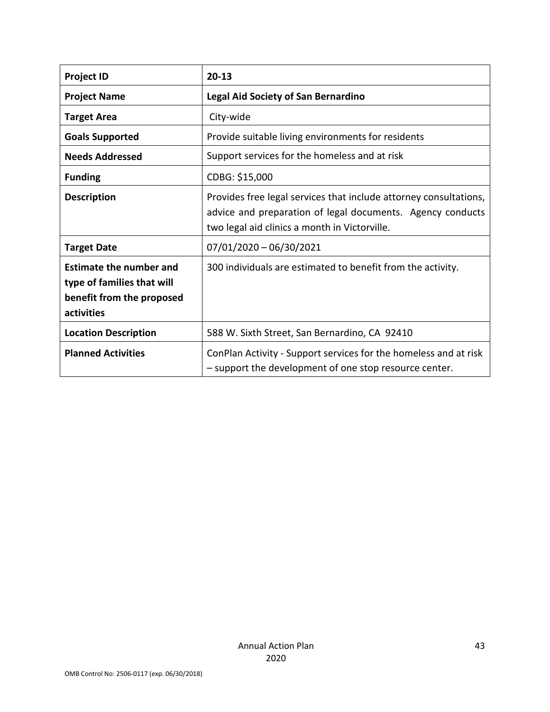| <b>Project ID</b>                                                                                       | $20 - 13$                                                                                                                                                                        |
|---------------------------------------------------------------------------------------------------------|----------------------------------------------------------------------------------------------------------------------------------------------------------------------------------|
| <b>Project Name</b>                                                                                     | Legal Aid Society of San Bernardino                                                                                                                                              |
| <b>Target Area</b>                                                                                      | City-wide                                                                                                                                                                        |
| <b>Goals Supported</b>                                                                                  | Provide suitable living environments for residents                                                                                                                               |
| <b>Needs Addressed</b>                                                                                  | Support services for the homeless and at risk                                                                                                                                    |
| <b>Funding</b>                                                                                          | CDBG: \$15,000                                                                                                                                                                   |
| <b>Description</b>                                                                                      | Provides free legal services that include attorney consultations,<br>advice and preparation of legal documents. Agency conducts<br>two legal aid clinics a month in Victorville. |
| <b>Target Date</b>                                                                                      | $07/01/2020 - 06/30/2021$                                                                                                                                                        |
| <b>Estimate the number and</b><br>type of families that will<br>benefit from the proposed<br>activities | 300 individuals are estimated to benefit from the activity.                                                                                                                      |
| <b>Location Description</b>                                                                             | 588 W. Sixth Street, San Bernardino, CA 92410                                                                                                                                    |
| <b>Planned Activities</b>                                                                               | ConPlan Activity - Support services for the homeless and at risk<br>- support the development of one stop resource center.                                                       |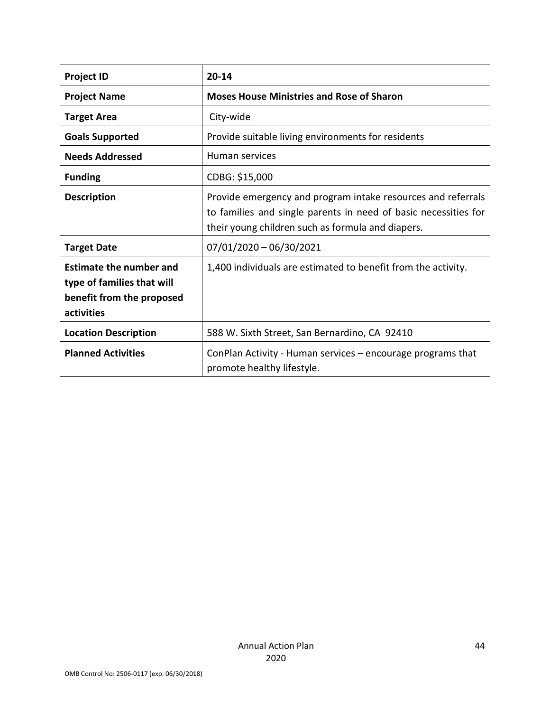| <b>Project ID</b>                                                                                       | $20 - 14$                                                                                                                                                                            |
|---------------------------------------------------------------------------------------------------------|--------------------------------------------------------------------------------------------------------------------------------------------------------------------------------------|
| <b>Project Name</b>                                                                                     | <b>Moses House Ministries and Rose of Sharon</b>                                                                                                                                     |
| <b>Target Area</b>                                                                                      | City-wide                                                                                                                                                                            |
| <b>Goals Supported</b>                                                                                  | Provide suitable living environments for residents                                                                                                                                   |
| <b>Needs Addressed</b>                                                                                  | Human services                                                                                                                                                                       |
| <b>Funding</b>                                                                                          | CDBG: \$15,000                                                                                                                                                                       |
| <b>Description</b>                                                                                      | Provide emergency and program intake resources and referrals<br>to families and single parents in need of basic necessities for<br>their young children such as formula and diapers. |
| <b>Target Date</b>                                                                                      | $07/01/2020 - 06/30/2021$                                                                                                                                                            |
| <b>Estimate the number and</b><br>type of families that will<br>benefit from the proposed<br>activities | 1,400 individuals are estimated to benefit from the activity.                                                                                                                        |
| <b>Location Description</b>                                                                             | 588 W. Sixth Street, San Bernardino, CA 92410                                                                                                                                        |
| <b>Planned Activities</b>                                                                               | ConPlan Activity - Human services – encourage programs that<br>promote healthy lifestyle.                                                                                            |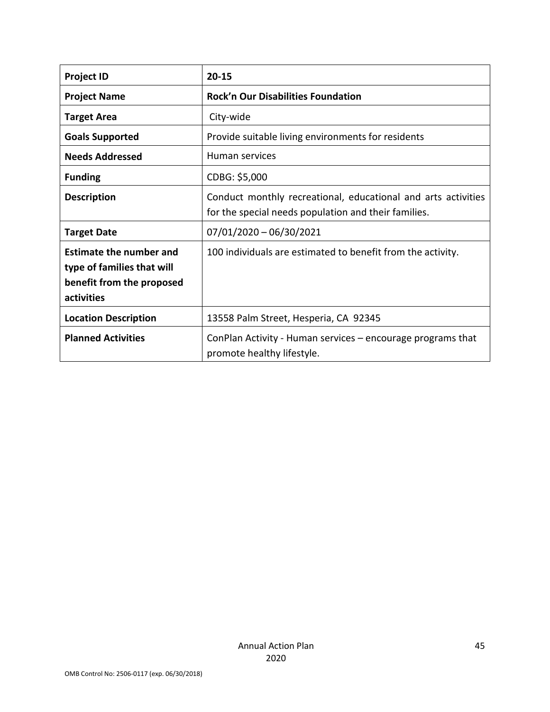| <b>Project ID</b>                                                                                       | $20 - 15$                                                                                                             |
|---------------------------------------------------------------------------------------------------------|-----------------------------------------------------------------------------------------------------------------------|
| <b>Project Name</b>                                                                                     | <b>Rock'n Our Disabilities Foundation</b>                                                                             |
| <b>Target Area</b>                                                                                      | City-wide                                                                                                             |
| <b>Goals Supported</b>                                                                                  | Provide suitable living environments for residents                                                                    |
| <b>Needs Addressed</b>                                                                                  | Human services                                                                                                        |
| <b>Funding</b>                                                                                          | CDBG: \$5,000                                                                                                         |
| <b>Description</b>                                                                                      | Conduct monthly recreational, educational and arts activities<br>for the special needs population and their families. |
| <b>Target Date</b>                                                                                      | $07/01/2020 - 06/30/2021$                                                                                             |
| <b>Estimate the number and</b><br>type of families that will<br>benefit from the proposed<br>activities | 100 individuals are estimated to benefit from the activity.                                                           |
| <b>Location Description</b>                                                                             | 13558 Palm Street, Hesperia, CA 92345                                                                                 |
| <b>Planned Activities</b>                                                                               | ConPlan Activity - Human services - encourage programs that<br>promote healthy lifestyle.                             |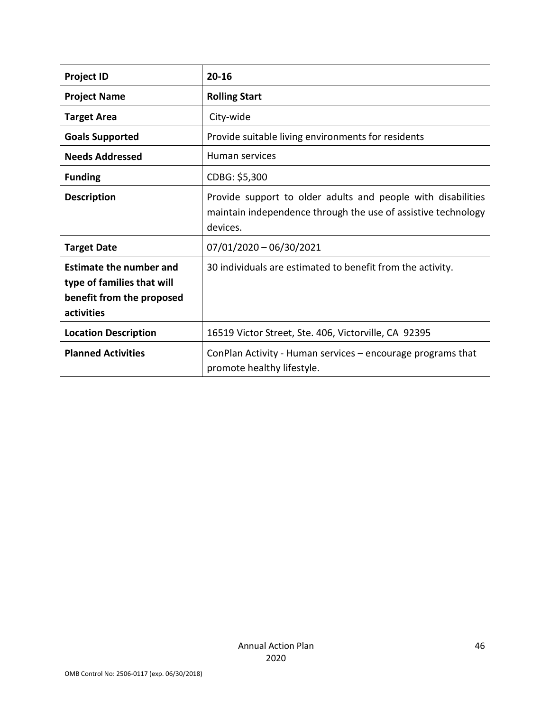| <b>Project ID</b>                                                                                       | $20 - 16$                                                                                                                                 |
|---------------------------------------------------------------------------------------------------------|-------------------------------------------------------------------------------------------------------------------------------------------|
| <b>Project Name</b>                                                                                     | <b>Rolling Start</b>                                                                                                                      |
| <b>Target Area</b>                                                                                      | City-wide                                                                                                                                 |
| <b>Goals Supported</b>                                                                                  | Provide suitable living environments for residents                                                                                        |
| <b>Needs Addressed</b>                                                                                  | Human services                                                                                                                            |
| <b>Funding</b>                                                                                          | CDBG: \$5,300                                                                                                                             |
| <b>Description</b>                                                                                      | Provide support to older adults and people with disabilities<br>maintain independence through the use of assistive technology<br>devices. |
| <b>Target Date</b>                                                                                      | $07/01/2020 - 06/30/2021$                                                                                                                 |
| <b>Estimate the number and</b><br>type of families that will<br>benefit from the proposed<br>activities | 30 individuals are estimated to benefit from the activity.                                                                                |
| <b>Location Description</b>                                                                             | 16519 Victor Street, Ste. 406, Victorville, CA 92395                                                                                      |
| <b>Planned Activities</b>                                                                               | ConPlan Activity - Human services – encourage programs that<br>promote healthy lifestyle.                                                 |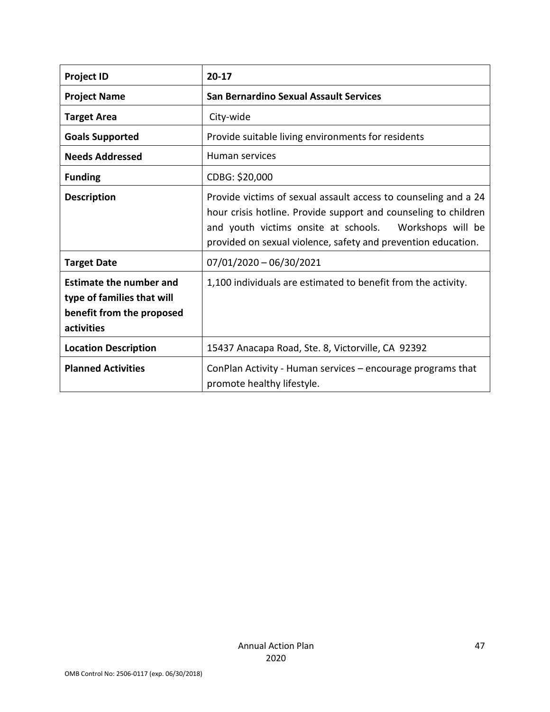| <b>Project ID</b>                                                                                       | $20-17$                                                                                                                                                                                                                                                        |
|---------------------------------------------------------------------------------------------------------|----------------------------------------------------------------------------------------------------------------------------------------------------------------------------------------------------------------------------------------------------------------|
| <b>Project Name</b>                                                                                     | <b>San Bernardino Sexual Assault Services</b>                                                                                                                                                                                                                  |
| <b>Target Area</b>                                                                                      | City-wide                                                                                                                                                                                                                                                      |
| <b>Goals Supported</b>                                                                                  | Provide suitable living environments for residents                                                                                                                                                                                                             |
| <b>Needs Addressed</b>                                                                                  | Human services                                                                                                                                                                                                                                                 |
| <b>Funding</b>                                                                                          | CDBG: \$20,000                                                                                                                                                                                                                                                 |
| <b>Description</b>                                                                                      | Provide victims of sexual assault access to counseling and a 24<br>hour crisis hotline. Provide support and counseling to children<br>and youth victims onsite at schools.  Workshops will be<br>provided on sexual violence, safety and prevention education. |
| <b>Target Date</b>                                                                                      | $07/01/2020 - 06/30/2021$                                                                                                                                                                                                                                      |
| <b>Estimate the number and</b><br>type of families that will<br>benefit from the proposed<br>activities | 1,100 individuals are estimated to benefit from the activity.                                                                                                                                                                                                  |
| <b>Location Description</b>                                                                             | 15437 Anacapa Road, Ste. 8, Victorville, CA 92392                                                                                                                                                                                                              |
| <b>Planned Activities</b>                                                                               | ConPlan Activity - Human services – encourage programs that<br>promote healthy lifestyle.                                                                                                                                                                      |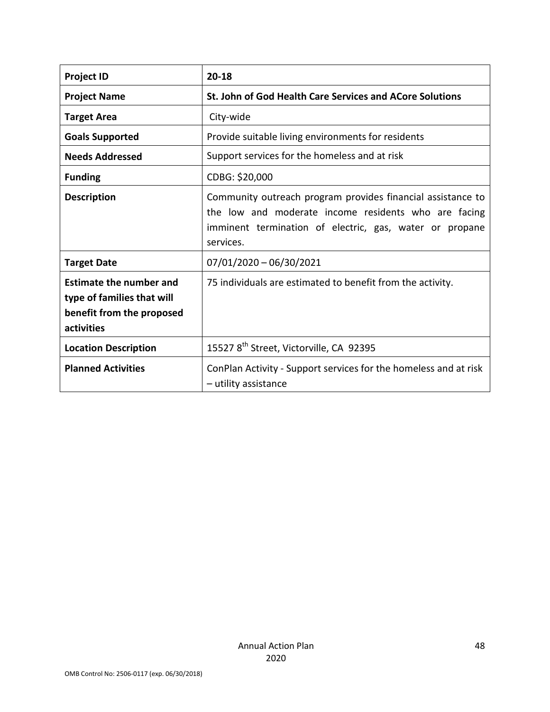| <b>Project ID</b>                                                                                       | $20 - 18$                                                                                                                                                                                   |
|---------------------------------------------------------------------------------------------------------|---------------------------------------------------------------------------------------------------------------------------------------------------------------------------------------------|
| <b>Project Name</b>                                                                                     | St. John of God Health Care Services and ACore Solutions                                                                                                                                    |
| <b>Target Area</b>                                                                                      | City-wide                                                                                                                                                                                   |
| <b>Goals Supported</b>                                                                                  | Provide suitable living environments for residents                                                                                                                                          |
| <b>Needs Addressed</b>                                                                                  | Support services for the homeless and at risk                                                                                                                                               |
| <b>Funding</b>                                                                                          | CDBG: \$20,000                                                                                                                                                                              |
| <b>Description</b>                                                                                      | Community outreach program provides financial assistance to<br>the low and moderate income residents who are facing<br>imminent termination of electric, gas, water or propane<br>services. |
| <b>Target Date</b>                                                                                      | $07/01/2020 - 06/30/2021$                                                                                                                                                                   |
| <b>Estimate the number and</b><br>type of families that will<br>benefit from the proposed<br>activities | 75 individuals are estimated to benefit from the activity.                                                                                                                                  |
| <b>Location Description</b>                                                                             | 15527 8 <sup>th</sup> Street, Victorville, CA 92395                                                                                                                                         |
| <b>Planned Activities</b>                                                                               | ConPlan Activity - Support services for the homeless and at risk<br>- utility assistance                                                                                                    |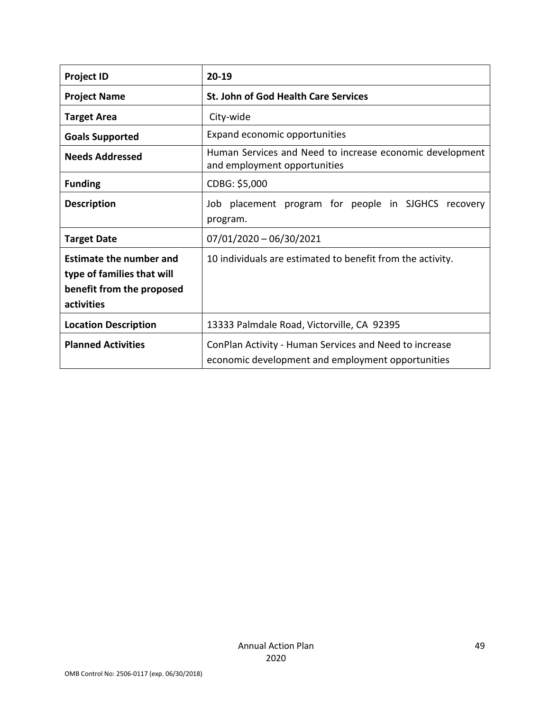| <b>Project ID</b>                                                                                       | $20 - 19$                                                                                                   |
|---------------------------------------------------------------------------------------------------------|-------------------------------------------------------------------------------------------------------------|
| <b>Project Name</b>                                                                                     | <b>St. John of God Health Care Services</b>                                                                 |
| <b>Target Area</b>                                                                                      | City-wide                                                                                                   |
| <b>Goals Supported</b>                                                                                  | Expand economic opportunities                                                                               |
| <b>Needs Addressed</b>                                                                                  | Human Services and Need to increase economic development<br>and employment opportunities                    |
| <b>Funding</b>                                                                                          | CDBG: \$5,000                                                                                               |
| <b>Description</b>                                                                                      | Job placement program for people in SJGHCS recovery<br>program.                                             |
| <b>Target Date</b>                                                                                      | $07/01/2020 - 06/30/2021$                                                                                   |
| <b>Estimate the number and</b><br>type of families that will<br>benefit from the proposed<br>activities | 10 individuals are estimated to benefit from the activity.                                                  |
| <b>Location Description</b>                                                                             | 13333 Palmdale Road, Victorville, CA 92395                                                                  |
| <b>Planned Activities</b>                                                                               | ConPlan Activity - Human Services and Need to increase<br>economic development and employment opportunities |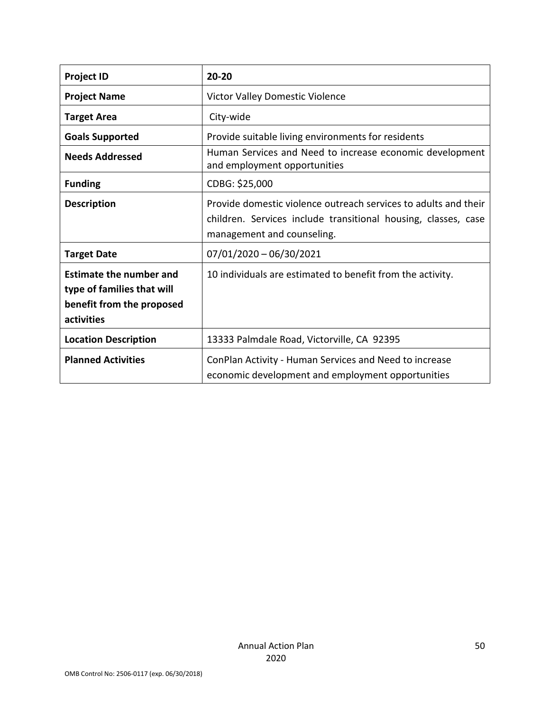| <b>Project ID</b>                                                                                       | $20 - 20$                                                                                                                                                       |
|---------------------------------------------------------------------------------------------------------|-----------------------------------------------------------------------------------------------------------------------------------------------------------------|
| <b>Project Name</b>                                                                                     | Victor Valley Domestic Violence                                                                                                                                 |
| <b>Target Area</b>                                                                                      | City-wide                                                                                                                                                       |
| <b>Goals Supported</b>                                                                                  | Provide suitable living environments for residents                                                                                                              |
| <b>Needs Addressed</b>                                                                                  | Human Services and Need to increase economic development<br>and employment opportunities                                                                        |
| <b>Funding</b>                                                                                          | CDBG: \$25,000                                                                                                                                                  |
| <b>Description</b>                                                                                      | Provide domestic violence outreach services to adults and their<br>children. Services include transitional housing, classes, case<br>management and counseling. |
| <b>Target Date</b>                                                                                      | 07/01/2020 - 06/30/2021                                                                                                                                         |
| <b>Estimate the number and</b><br>type of families that will<br>benefit from the proposed<br>activities | 10 individuals are estimated to benefit from the activity.                                                                                                      |
| <b>Location Description</b>                                                                             | 13333 Palmdale Road, Victorville, CA 92395                                                                                                                      |
| <b>Planned Activities</b>                                                                               | ConPlan Activity - Human Services and Need to increase<br>economic development and employment opportunities                                                     |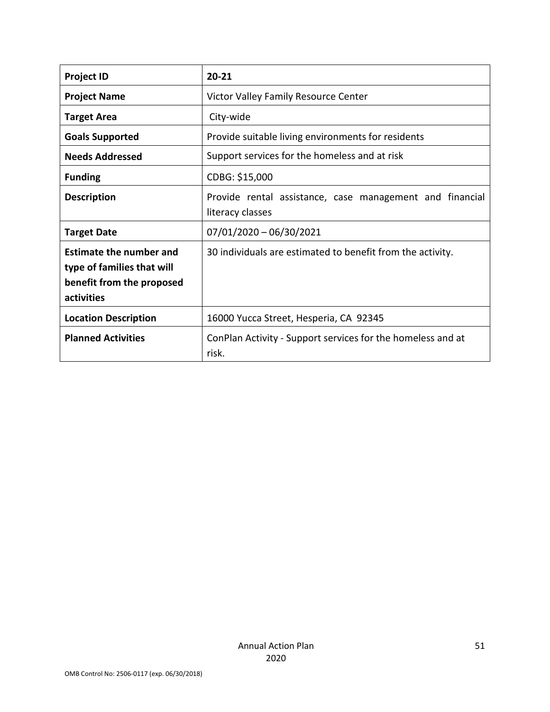| <b>Project ID</b>                                                                                       | $20 - 21$                                                                    |
|---------------------------------------------------------------------------------------------------------|------------------------------------------------------------------------------|
| <b>Project Name</b>                                                                                     | Victor Valley Family Resource Center                                         |
| <b>Target Area</b>                                                                                      | City-wide                                                                    |
| <b>Goals Supported</b>                                                                                  | Provide suitable living environments for residents                           |
| <b>Needs Addressed</b>                                                                                  | Support services for the homeless and at risk                                |
| <b>Funding</b>                                                                                          | CDBG: \$15,000                                                               |
| <b>Description</b>                                                                                      | Provide rental assistance, case management and financial<br>literacy classes |
| <b>Target Date</b>                                                                                      | $07/01/2020 - 06/30/2021$                                                    |
| <b>Estimate the number and</b><br>type of families that will<br>benefit from the proposed<br>activities | 30 individuals are estimated to benefit from the activity.                   |
| <b>Location Description</b>                                                                             | 16000 Yucca Street, Hesperia, CA 92345                                       |
| <b>Planned Activities</b>                                                                               | ConPlan Activity - Support services for the homeless and at<br>risk.         |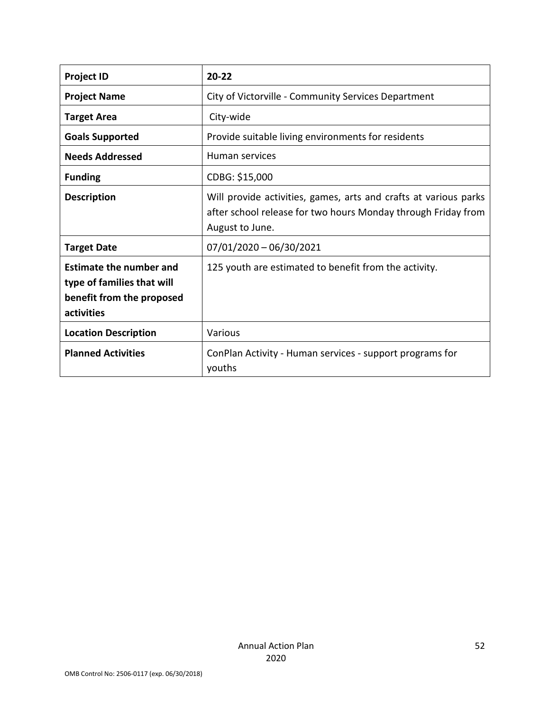| <b>Project ID</b>                                                                                       | $20 - 22$                                                                                                                                            |
|---------------------------------------------------------------------------------------------------------|------------------------------------------------------------------------------------------------------------------------------------------------------|
| <b>Project Name</b>                                                                                     | City of Victorville - Community Services Department                                                                                                  |
| <b>Target Area</b>                                                                                      | City-wide                                                                                                                                            |
| <b>Goals Supported</b>                                                                                  | Provide suitable living environments for residents                                                                                                   |
| <b>Needs Addressed</b>                                                                                  | Human services                                                                                                                                       |
| <b>Funding</b>                                                                                          | CDBG: \$15,000                                                                                                                                       |
| <b>Description</b>                                                                                      | Will provide activities, games, arts and crafts at various parks<br>after school release for two hours Monday through Friday from<br>August to June. |
| <b>Target Date</b>                                                                                      | $07/01/2020 - 06/30/2021$                                                                                                                            |
| <b>Estimate the number and</b><br>type of families that will<br>benefit from the proposed<br>activities | 125 youth are estimated to benefit from the activity.                                                                                                |
| <b>Location Description</b>                                                                             | Various                                                                                                                                              |
| <b>Planned Activities</b>                                                                               | ConPlan Activity - Human services - support programs for<br>youths                                                                                   |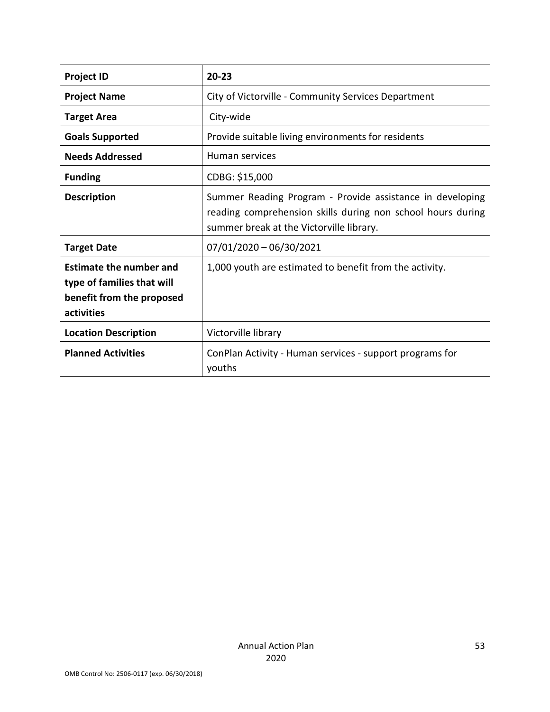| <b>Project ID</b>                                                                                       | $20 - 23$                                                                                                                                                            |
|---------------------------------------------------------------------------------------------------------|----------------------------------------------------------------------------------------------------------------------------------------------------------------------|
| <b>Project Name</b>                                                                                     | City of Victorville - Community Services Department                                                                                                                  |
| <b>Target Area</b>                                                                                      | City-wide                                                                                                                                                            |
| <b>Goals Supported</b>                                                                                  | Provide suitable living environments for residents                                                                                                                   |
| <b>Needs Addressed</b>                                                                                  | Human services                                                                                                                                                       |
| <b>Funding</b>                                                                                          | CDBG: \$15,000                                                                                                                                                       |
| <b>Description</b>                                                                                      | Summer Reading Program - Provide assistance in developing<br>reading comprehension skills during non school hours during<br>summer break at the Victorville library. |
| <b>Target Date</b>                                                                                      | $07/01/2020 - 06/30/2021$                                                                                                                                            |
| <b>Estimate the number and</b><br>type of families that will<br>benefit from the proposed<br>activities | 1,000 youth are estimated to benefit from the activity.                                                                                                              |
| <b>Location Description</b>                                                                             | Victorville library                                                                                                                                                  |
| <b>Planned Activities</b>                                                                               | ConPlan Activity - Human services - support programs for<br>youths                                                                                                   |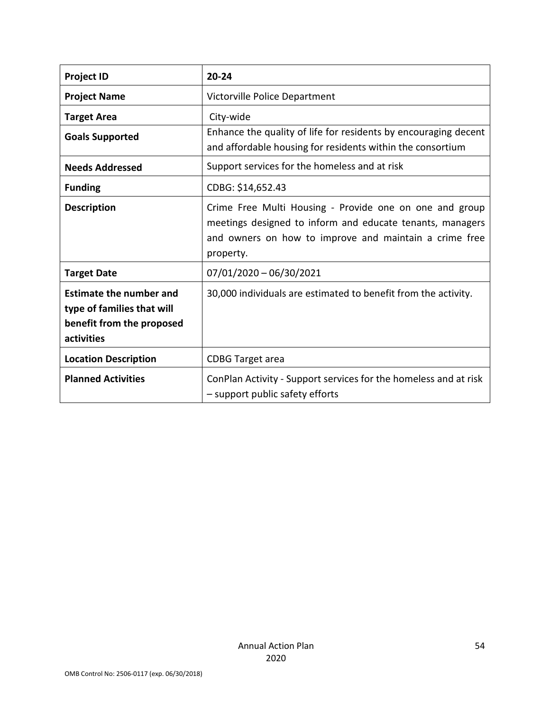| <b>Project ID</b>                                                                                       | $20 - 24$                                                                                                                                                                                   |
|---------------------------------------------------------------------------------------------------------|---------------------------------------------------------------------------------------------------------------------------------------------------------------------------------------------|
| <b>Project Name</b>                                                                                     | Victorville Police Department                                                                                                                                                               |
| <b>Target Area</b>                                                                                      | City-wide                                                                                                                                                                                   |
| <b>Goals Supported</b>                                                                                  | Enhance the quality of life for residents by encouraging decent<br>and affordable housing for residents within the consortium                                                               |
| <b>Needs Addressed</b>                                                                                  | Support services for the homeless and at risk                                                                                                                                               |
| <b>Funding</b>                                                                                          | CDBG: \$14,652.43                                                                                                                                                                           |
| <b>Description</b>                                                                                      | Crime Free Multi Housing - Provide one on one and group<br>meetings designed to inform and educate tenants, managers<br>and owners on how to improve and maintain a crime free<br>property. |
| <b>Target Date</b>                                                                                      | 07/01/2020 - 06/30/2021                                                                                                                                                                     |
| <b>Estimate the number and</b><br>type of families that will<br>benefit from the proposed<br>activities | 30,000 individuals are estimated to benefit from the activity.                                                                                                                              |
| <b>Location Description</b>                                                                             | <b>CDBG Target area</b>                                                                                                                                                                     |
| <b>Planned Activities</b>                                                                               | ConPlan Activity - Support services for the homeless and at risk<br>- support public safety efforts                                                                                         |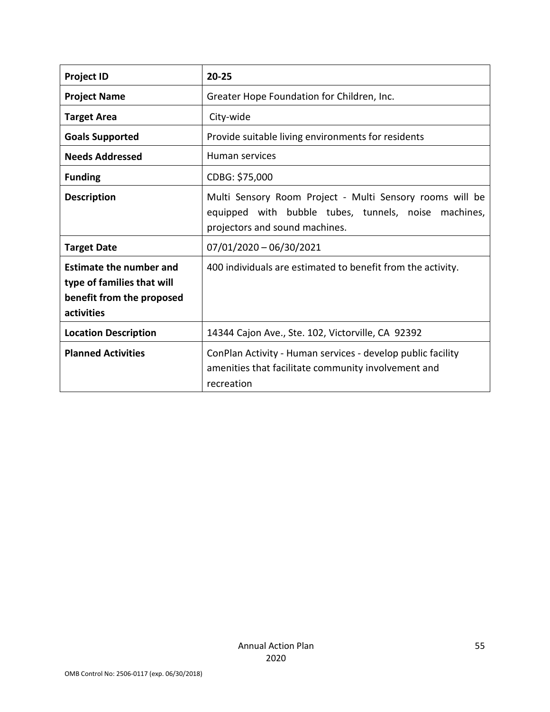| <b>Project ID</b>                                                                                       | $20 - 25$                                                                                                                                          |
|---------------------------------------------------------------------------------------------------------|----------------------------------------------------------------------------------------------------------------------------------------------------|
| <b>Project Name</b>                                                                                     | Greater Hope Foundation for Children, Inc.                                                                                                         |
| <b>Target Area</b>                                                                                      | City-wide                                                                                                                                          |
| <b>Goals Supported</b>                                                                                  | Provide suitable living environments for residents                                                                                                 |
| <b>Needs Addressed</b>                                                                                  | Human services                                                                                                                                     |
| <b>Funding</b>                                                                                          | CDBG: \$75,000                                                                                                                                     |
| <b>Description</b>                                                                                      | Multi Sensory Room Project - Multi Sensory rooms will be<br>equipped with bubble tubes, tunnels, noise machines,<br>projectors and sound machines. |
| <b>Target Date</b>                                                                                      | $07/01/2020 - 06/30/2021$                                                                                                                          |
| <b>Estimate the number and</b><br>type of families that will<br>benefit from the proposed<br>activities | 400 individuals are estimated to benefit from the activity.                                                                                        |
| <b>Location Description</b>                                                                             | 14344 Cajon Ave., Ste. 102, Victorville, CA 92392                                                                                                  |
| <b>Planned Activities</b>                                                                               | ConPlan Activity - Human services - develop public facility<br>amenities that facilitate community involvement and<br>recreation                   |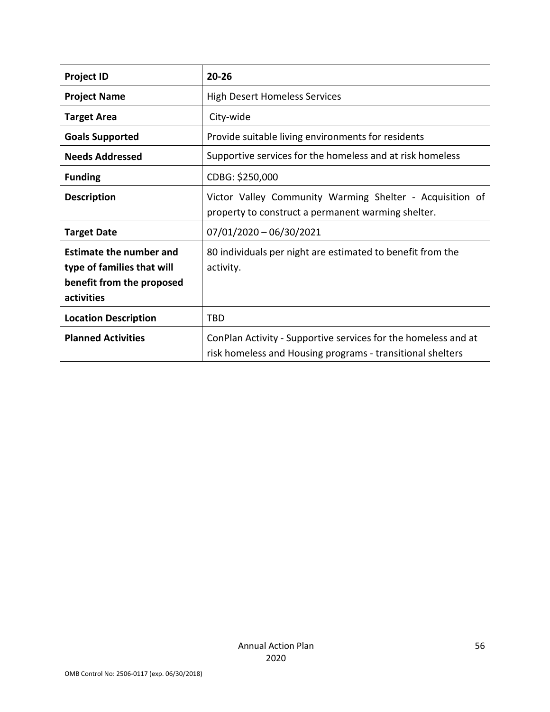| <b>Project ID</b>                                                                                       | $20 - 26$                                                                                                                    |
|---------------------------------------------------------------------------------------------------------|------------------------------------------------------------------------------------------------------------------------------|
| <b>Project Name</b>                                                                                     | <b>High Desert Homeless Services</b>                                                                                         |
| <b>Target Area</b>                                                                                      | City-wide                                                                                                                    |
| <b>Goals Supported</b>                                                                                  | Provide suitable living environments for residents                                                                           |
| <b>Needs Addressed</b>                                                                                  | Supportive services for the homeless and at risk homeless                                                                    |
| <b>Funding</b>                                                                                          | CDBG: \$250,000                                                                                                              |
| <b>Description</b>                                                                                      | Victor Valley Community Warming Shelter - Acquisition of<br>property to construct a permanent warming shelter.               |
| <b>Target Date</b>                                                                                      | $07/01/2020 - 06/30/2021$                                                                                                    |
| <b>Estimate the number and</b><br>type of families that will<br>benefit from the proposed<br>activities | 80 individuals per night are estimated to benefit from the<br>activity.                                                      |
| <b>Location Description</b>                                                                             | TBD                                                                                                                          |
| <b>Planned Activities</b>                                                                               | ConPlan Activity - Supportive services for the homeless and at<br>risk homeless and Housing programs - transitional shelters |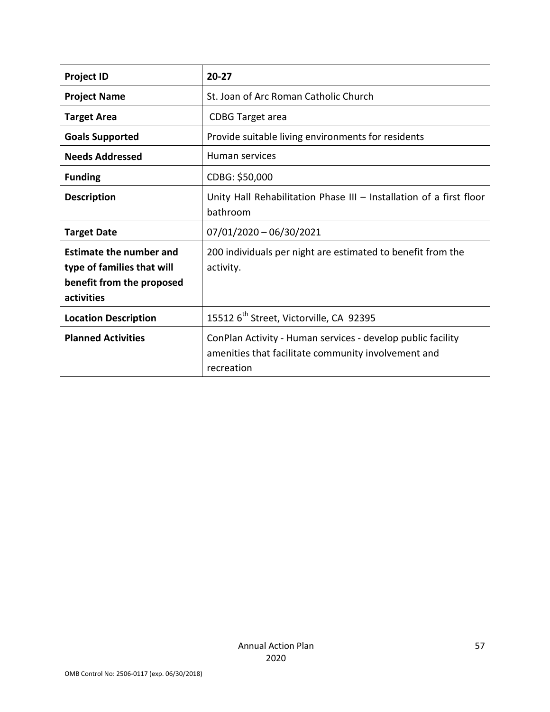| <b>Project ID</b>                                                                                       | $20 - 27$                                                                                                                        |
|---------------------------------------------------------------------------------------------------------|----------------------------------------------------------------------------------------------------------------------------------|
| <b>Project Name</b>                                                                                     | St. Joan of Arc Roman Catholic Church                                                                                            |
| <b>Target Area</b>                                                                                      | <b>CDBG Target area</b>                                                                                                          |
| <b>Goals Supported</b>                                                                                  | Provide suitable living environments for residents                                                                               |
| <b>Needs Addressed</b>                                                                                  | Human services                                                                                                                   |
| <b>Funding</b>                                                                                          | CDBG: \$50,000                                                                                                                   |
| <b>Description</b>                                                                                      | Unity Hall Rehabilitation Phase III - Installation of a first floor<br>bathroom                                                  |
| <b>Target Date</b>                                                                                      | $07/01/2020 - 06/30/2021$                                                                                                        |
| <b>Estimate the number and</b><br>type of families that will<br>benefit from the proposed<br>activities | 200 individuals per night are estimated to benefit from the<br>activity.                                                         |
| <b>Location Description</b>                                                                             | 15512 6 <sup>th</sup> Street, Victorville, CA 92395                                                                              |
| <b>Planned Activities</b>                                                                               | ConPlan Activity - Human services - develop public facility<br>amenities that facilitate community involvement and<br>recreation |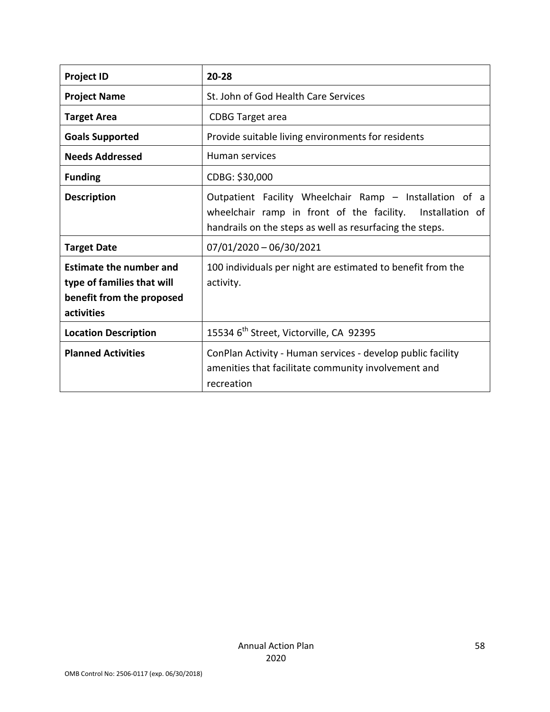| <b>Project ID</b>                                                                                       | $20 - 28$                                                                                                                                                                        |
|---------------------------------------------------------------------------------------------------------|----------------------------------------------------------------------------------------------------------------------------------------------------------------------------------|
| <b>Project Name</b>                                                                                     | St. John of God Health Care Services                                                                                                                                             |
| <b>Target Area</b>                                                                                      | <b>CDBG</b> Target area                                                                                                                                                          |
| <b>Goals Supported</b>                                                                                  | Provide suitable living environments for residents                                                                                                                               |
| <b>Needs Addressed</b>                                                                                  | Human services                                                                                                                                                                   |
| <b>Funding</b>                                                                                          | CDBG: \$30,000                                                                                                                                                                   |
| <b>Description</b>                                                                                      | Outpatient Facility Wheelchair Ramp - Installation of a<br>wheelchair ramp in front of the facility. Installation of<br>handrails on the steps as well as resurfacing the steps. |
| <b>Target Date</b>                                                                                      | $07/01/2020 - 06/30/2021$                                                                                                                                                        |
| <b>Estimate the number and</b><br>type of families that will<br>benefit from the proposed<br>activities | 100 individuals per night are estimated to benefit from the<br>activity.                                                                                                         |
| <b>Location Description</b>                                                                             | 15534 6 <sup>th</sup> Street, Victorville, CA 92395                                                                                                                              |
| <b>Planned Activities</b>                                                                               | ConPlan Activity - Human services - develop public facility<br>amenities that facilitate community involvement and<br>recreation                                                 |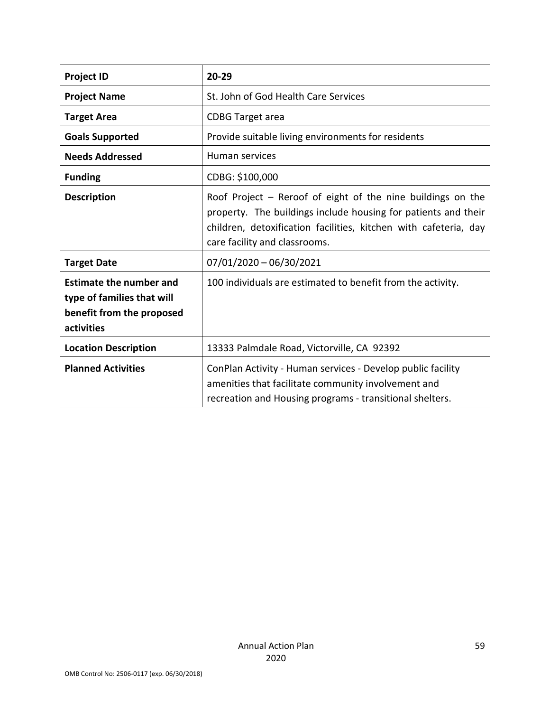| <b>Project ID</b>                                                                                       | $20 - 29$                                                                                                                                                                                                                            |
|---------------------------------------------------------------------------------------------------------|--------------------------------------------------------------------------------------------------------------------------------------------------------------------------------------------------------------------------------------|
| <b>Project Name</b>                                                                                     | St. John of God Health Care Services                                                                                                                                                                                                 |
| <b>Target Area</b>                                                                                      | <b>CDBG Target area</b>                                                                                                                                                                                                              |
| <b>Goals Supported</b>                                                                                  | Provide suitable living environments for residents                                                                                                                                                                                   |
| <b>Needs Addressed</b>                                                                                  | Human services                                                                                                                                                                                                                       |
| <b>Funding</b>                                                                                          | CDBG: \$100,000                                                                                                                                                                                                                      |
| <b>Description</b>                                                                                      | Roof Project $-$ Reroof of eight of the nine buildings on the<br>property. The buildings include housing for patients and their<br>children, detoxification facilities, kitchen with cafeteria, day<br>care facility and classrooms. |
| <b>Target Date</b>                                                                                      | 07/01/2020 - 06/30/2021                                                                                                                                                                                                              |
| <b>Estimate the number and</b><br>type of families that will<br>benefit from the proposed<br>activities | 100 individuals are estimated to benefit from the activity.                                                                                                                                                                          |
| <b>Location Description</b>                                                                             | 13333 Palmdale Road, Victorville, CA 92392                                                                                                                                                                                           |
| <b>Planned Activities</b>                                                                               | ConPlan Activity - Human services - Develop public facility<br>amenities that facilitate community involvement and<br>recreation and Housing programs - transitional shelters.                                                       |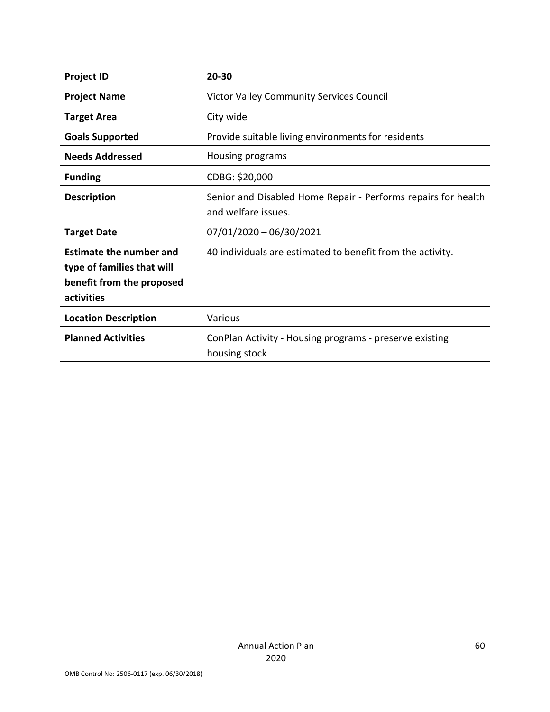| <b>Project ID</b>                                                                                       | 20-30                                                                                |
|---------------------------------------------------------------------------------------------------------|--------------------------------------------------------------------------------------|
| <b>Project Name</b>                                                                                     | <b>Victor Valley Community Services Council</b>                                      |
| <b>Target Area</b>                                                                                      | City wide                                                                            |
| <b>Goals Supported</b>                                                                                  | Provide suitable living environments for residents                                   |
| <b>Needs Addressed</b>                                                                                  | Housing programs                                                                     |
| <b>Funding</b>                                                                                          | CDBG: \$20,000                                                                       |
| <b>Description</b>                                                                                      | Senior and Disabled Home Repair - Performs repairs for health<br>and welfare issues. |
| <b>Target Date</b>                                                                                      | $07/01/2020 - 06/30/2021$                                                            |
| <b>Estimate the number and</b><br>type of families that will<br>benefit from the proposed<br>activities | 40 individuals are estimated to benefit from the activity.                           |
| <b>Location Description</b>                                                                             | Various                                                                              |
| <b>Planned Activities</b>                                                                               | ConPlan Activity - Housing programs - preserve existing<br>housing stock             |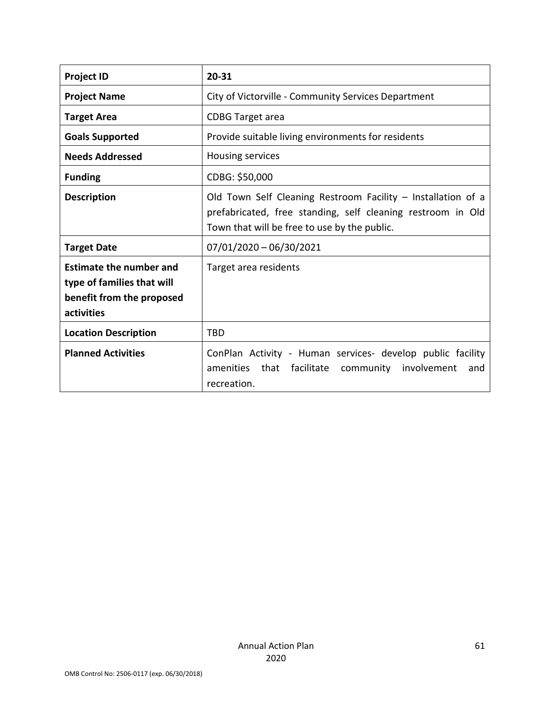| <b>Project ID</b>                                                                                       | 20-31                                                                                                                                                                       |  |  |
|---------------------------------------------------------------------------------------------------------|-----------------------------------------------------------------------------------------------------------------------------------------------------------------------------|--|--|
| <b>Project Name</b>                                                                                     | City of Victorville - Community Services Department                                                                                                                         |  |  |
| <b>Target Area</b>                                                                                      | <b>CDBG Target area</b>                                                                                                                                                     |  |  |
| <b>Goals Supported</b>                                                                                  | Provide suitable living environments for residents                                                                                                                          |  |  |
| <b>Needs Addressed</b>                                                                                  | Housing services                                                                                                                                                            |  |  |
| <b>Funding</b>                                                                                          | CDBG: \$50,000                                                                                                                                                              |  |  |
| <b>Description</b>                                                                                      | Old Town Self Cleaning Restroom Facility - Installation of a<br>prefabricated, free standing, self cleaning restroom in Old<br>Town that will be free to use by the public. |  |  |
| <b>Target Date</b>                                                                                      | $07/01/2020 - 06/30/2021$                                                                                                                                                   |  |  |
| <b>Estimate the number and</b><br>type of families that will<br>benefit from the proposed<br>activities | Target area residents                                                                                                                                                       |  |  |
| <b>Location Description</b>                                                                             | <b>TBD</b>                                                                                                                                                                  |  |  |
| <b>Planned Activities</b>                                                                               | ConPlan Activity - Human services- develop public facility<br>amenities that<br>facilitate community<br>involvement<br>and<br>recreation.                                   |  |  |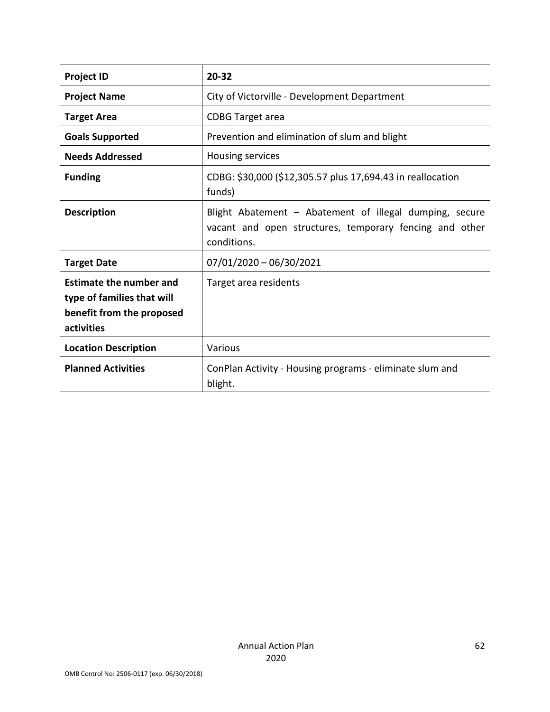| <b>Project ID</b>                                                                                       | 20-32                                                                                                                             |  |
|---------------------------------------------------------------------------------------------------------|-----------------------------------------------------------------------------------------------------------------------------------|--|
| <b>Project Name</b>                                                                                     | City of Victorville - Development Department                                                                                      |  |
| <b>Target Area</b>                                                                                      | <b>CDBG</b> Target area                                                                                                           |  |
| <b>Goals Supported</b>                                                                                  | Prevention and elimination of slum and blight                                                                                     |  |
| <b>Needs Addressed</b>                                                                                  | Housing services                                                                                                                  |  |
| <b>Funding</b>                                                                                          | CDBG: \$30,000 (\$12,305.57 plus 17,694.43 in reallocation<br>funds)                                                              |  |
| <b>Description</b>                                                                                      | Blight Abatement - Abatement of illegal dumping, secure<br>vacant and open structures, temporary fencing and other<br>conditions. |  |
| <b>Target Date</b>                                                                                      | $07/01/2020 - 06/30/2021$                                                                                                         |  |
| <b>Estimate the number and</b><br>type of families that will<br>benefit from the proposed<br>activities | Target area residents                                                                                                             |  |
| <b>Location Description</b>                                                                             | Various                                                                                                                           |  |
| <b>Planned Activities</b>                                                                               | ConPlan Activity - Housing programs - eliminate slum and<br>blight.                                                               |  |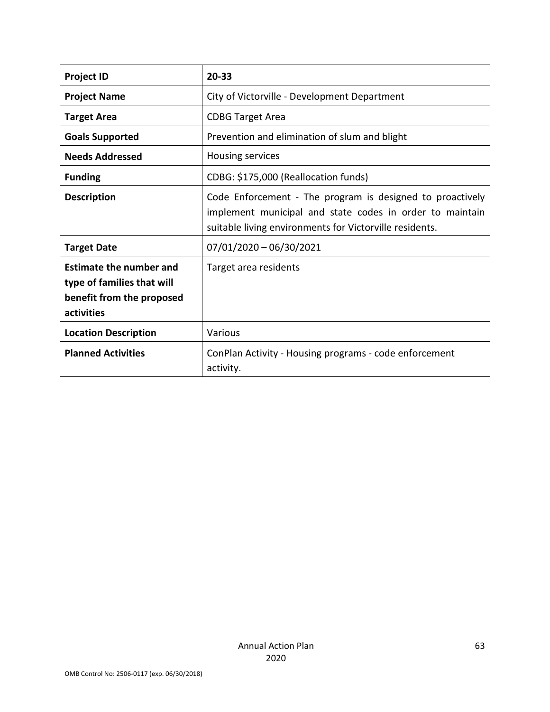| <b>Project ID</b>                                                                                       | 20-33                                                                                                                                                                            |  |
|---------------------------------------------------------------------------------------------------------|----------------------------------------------------------------------------------------------------------------------------------------------------------------------------------|--|
| <b>Project Name</b>                                                                                     | City of Victorville - Development Department                                                                                                                                     |  |
| <b>Target Area</b>                                                                                      | <b>CDBG Target Area</b>                                                                                                                                                          |  |
| <b>Goals Supported</b>                                                                                  | Prevention and elimination of slum and blight                                                                                                                                    |  |
| <b>Needs Addressed</b>                                                                                  | Housing services                                                                                                                                                                 |  |
| <b>Funding</b>                                                                                          | CDBG: \$175,000 (Reallocation funds)                                                                                                                                             |  |
| <b>Description</b>                                                                                      | Code Enforcement - The program is designed to proactively<br>implement municipal and state codes in order to maintain<br>suitable living environments for Victorville residents. |  |
| <b>Target Date</b>                                                                                      | $07/01/2020 - 06/30/2021$                                                                                                                                                        |  |
| <b>Estimate the number and</b><br>type of families that will<br>benefit from the proposed<br>activities | Target area residents                                                                                                                                                            |  |
| <b>Location Description</b>                                                                             | Various                                                                                                                                                                          |  |
| <b>Planned Activities</b>                                                                               | ConPlan Activity - Housing programs - code enforcement<br>activity.                                                                                                              |  |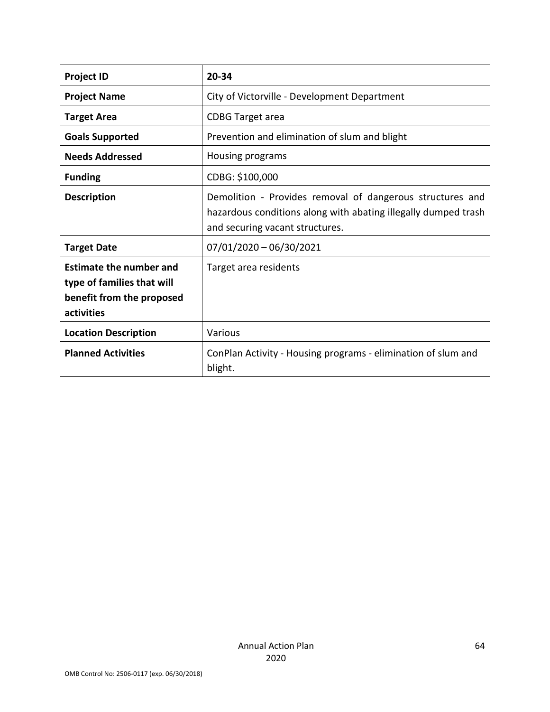| <b>Project ID</b>                                                                                       | 20-34                                                                                                                                                          |  |
|---------------------------------------------------------------------------------------------------------|----------------------------------------------------------------------------------------------------------------------------------------------------------------|--|
| <b>Project Name</b>                                                                                     | City of Victorville - Development Department                                                                                                                   |  |
| <b>Target Area</b>                                                                                      | <b>CDBG Target area</b>                                                                                                                                        |  |
| <b>Goals Supported</b>                                                                                  | Prevention and elimination of slum and blight                                                                                                                  |  |
| <b>Needs Addressed</b>                                                                                  | Housing programs                                                                                                                                               |  |
| <b>Funding</b>                                                                                          | CDBG: \$100,000                                                                                                                                                |  |
| <b>Description</b>                                                                                      | Demolition - Provides removal of dangerous structures and<br>hazardous conditions along with abating illegally dumped trash<br>and securing vacant structures. |  |
| <b>Target Date</b>                                                                                      | $07/01/2020 - 06/30/2021$                                                                                                                                      |  |
| <b>Estimate the number and</b><br>type of families that will<br>benefit from the proposed<br>activities | Target area residents                                                                                                                                          |  |
| <b>Location Description</b>                                                                             | Various                                                                                                                                                        |  |
| <b>Planned Activities</b>                                                                               | ConPlan Activity - Housing programs - elimination of slum and<br>blight.                                                                                       |  |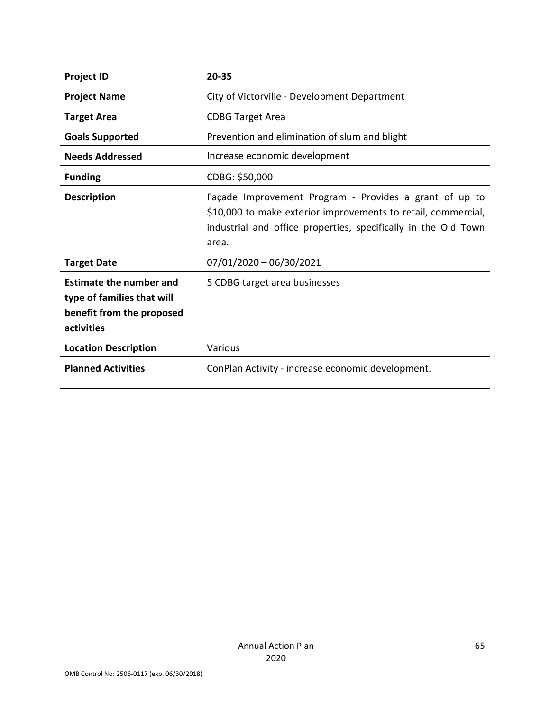| <b>Project ID</b>                                                                                       | 20-35                                                                                                                                                                                              |  |
|---------------------------------------------------------------------------------------------------------|----------------------------------------------------------------------------------------------------------------------------------------------------------------------------------------------------|--|
| <b>Project Name</b>                                                                                     | City of Victorville - Development Department                                                                                                                                                       |  |
| <b>Target Area</b>                                                                                      | <b>CDBG Target Area</b>                                                                                                                                                                            |  |
| <b>Goals Supported</b>                                                                                  | Prevention and elimination of slum and blight                                                                                                                                                      |  |
| <b>Needs Addressed</b>                                                                                  | Increase economic development                                                                                                                                                                      |  |
| <b>Funding</b>                                                                                          | CDBG: \$50,000                                                                                                                                                                                     |  |
| <b>Description</b>                                                                                      | Façade Improvement Program - Provides a grant of up to<br>\$10,000 to make exterior improvements to retail, commercial,<br>industrial and office properties, specifically in the Old Town<br>area. |  |
| <b>Target Date</b>                                                                                      | $07/01/2020 - 06/30/2021$                                                                                                                                                                          |  |
| <b>Estimate the number and</b><br>type of families that will<br>benefit from the proposed<br>activities | 5 CDBG target area businesses                                                                                                                                                                      |  |
| <b>Location Description</b>                                                                             | Various                                                                                                                                                                                            |  |
| <b>Planned Activities</b>                                                                               | ConPlan Activity - increase economic development.                                                                                                                                                  |  |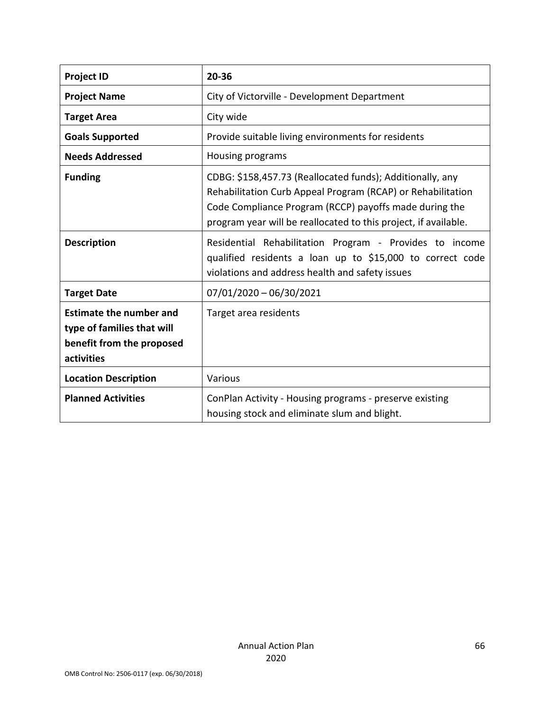| <b>Project ID</b>                                                                                       | 20-36                                                                                                                                                                                                                                                 |  |
|---------------------------------------------------------------------------------------------------------|-------------------------------------------------------------------------------------------------------------------------------------------------------------------------------------------------------------------------------------------------------|--|
| <b>Project Name</b>                                                                                     | City of Victorville - Development Department                                                                                                                                                                                                          |  |
| <b>Target Area</b>                                                                                      | City wide                                                                                                                                                                                                                                             |  |
| <b>Goals Supported</b>                                                                                  | Provide suitable living environments for residents                                                                                                                                                                                                    |  |
| <b>Needs Addressed</b>                                                                                  | Housing programs                                                                                                                                                                                                                                      |  |
| <b>Funding</b>                                                                                          | CDBG: \$158,457.73 (Reallocated funds); Additionally, any<br>Rehabilitation Curb Appeal Program (RCAP) or Rehabilitation<br>Code Compliance Program (RCCP) payoffs made during the<br>program year will be reallocated to this project, if available. |  |
| <b>Description</b>                                                                                      | Residential Rehabilitation Program - Provides to income<br>qualified residents a loan up to \$15,000 to correct code<br>violations and address health and safety issues                                                                               |  |
| <b>Target Date</b>                                                                                      | 07/01/2020 - 06/30/2021                                                                                                                                                                                                                               |  |
| <b>Estimate the number and</b><br>type of families that will<br>benefit from the proposed<br>activities | Target area residents                                                                                                                                                                                                                                 |  |
| <b>Location Description</b>                                                                             | Various                                                                                                                                                                                                                                               |  |
| <b>Planned Activities</b>                                                                               | ConPlan Activity - Housing programs - preserve existing<br>housing stock and eliminate slum and blight.                                                                                                                                               |  |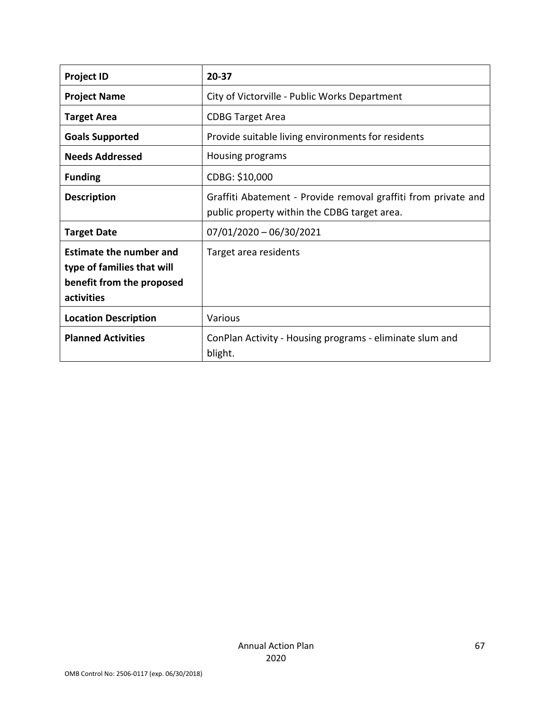| <b>Project ID</b>                                                                                       | 20-37                                                                                                          |  |
|---------------------------------------------------------------------------------------------------------|----------------------------------------------------------------------------------------------------------------|--|
| <b>Project Name</b>                                                                                     | City of Victorville - Public Works Department                                                                  |  |
| <b>Target Area</b>                                                                                      | <b>CDBG Target Area</b>                                                                                        |  |
| <b>Goals Supported</b>                                                                                  | Provide suitable living environments for residents                                                             |  |
| <b>Needs Addressed</b>                                                                                  | Housing programs                                                                                               |  |
| <b>Funding</b>                                                                                          | CDBG: \$10,000                                                                                                 |  |
| <b>Description</b>                                                                                      | Graffiti Abatement - Provide removal graffiti from private and<br>public property within the CDBG target area. |  |
| <b>Target Date</b>                                                                                      | $07/01/2020 - 06/30/2021$                                                                                      |  |
| <b>Estimate the number and</b><br>type of families that will<br>benefit from the proposed<br>activities | Target area residents                                                                                          |  |
| <b>Location Description</b>                                                                             | Various                                                                                                        |  |
| <b>Planned Activities</b>                                                                               | ConPlan Activity - Housing programs - eliminate slum and<br>blight.                                            |  |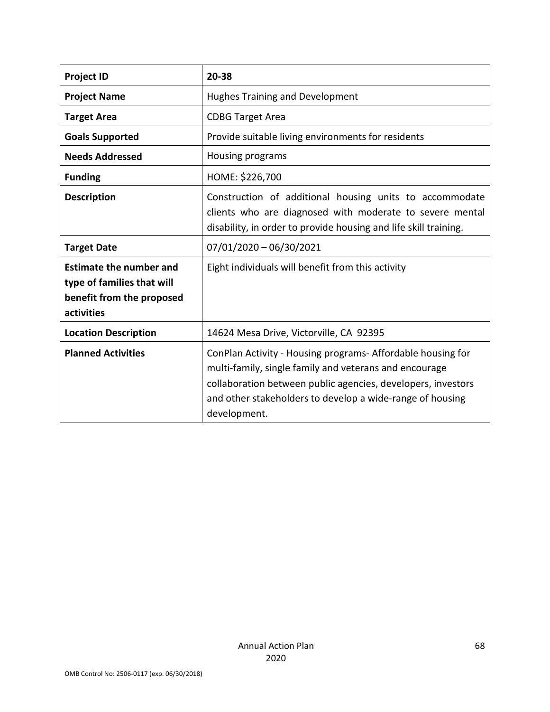| <b>Project ID</b>                                                                                       | 20-38                                                                                                                                                                                                                                                              |  |
|---------------------------------------------------------------------------------------------------------|--------------------------------------------------------------------------------------------------------------------------------------------------------------------------------------------------------------------------------------------------------------------|--|
| <b>Project Name</b>                                                                                     | <b>Hughes Training and Development</b>                                                                                                                                                                                                                             |  |
| <b>Target Area</b>                                                                                      | <b>CDBG Target Area</b>                                                                                                                                                                                                                                            |  |
| <b>Goals Supported</b>                                                                                  | Provide suitable living environments for residents                                                                                                                                                                                                                 |  |
| <b>Needs Addressed</b>                                                                                  | Housing programs                                                                                                                                                                                                                                                   |  |
| <b>Funding</b>                                                                                          | HOME: \$226,700                                                                                                                                                                                                                                                    |  |
| <b>Description</b>                                                                                      | Construction of additional housing units to accommodate<br>clients who are diagnosed with moderate to severe mental<br>disability, in order to provide housing and life skill training.                                                                            |  |
| <b>Target Date</b>                                                                                      | $07/01/2020 - 06/30/2021$                                                                                                                                                                                                                                          |  |
| <b>Estimate the number and</b><br>type of families that will<br>benefit from the proposed<br>activities | Eight individuals will benefit from this activity                                                                                                                                                                                                                  |  |
| <b>Location Description</b>                                                                             | 14624 Mesa Drive, Victorville, CA 92395                                                                                                                                                                                                                            |  |
| <b>Planned Activities</b>                                                                               | ConPlan Activity - Housing programs- Affordable housing for<br>multi-family, single family and veterans and encourage<br>collaboration between public agencies, developers, investors<br>and other stakeholders to develop a wide-range of housing<br>development. |  |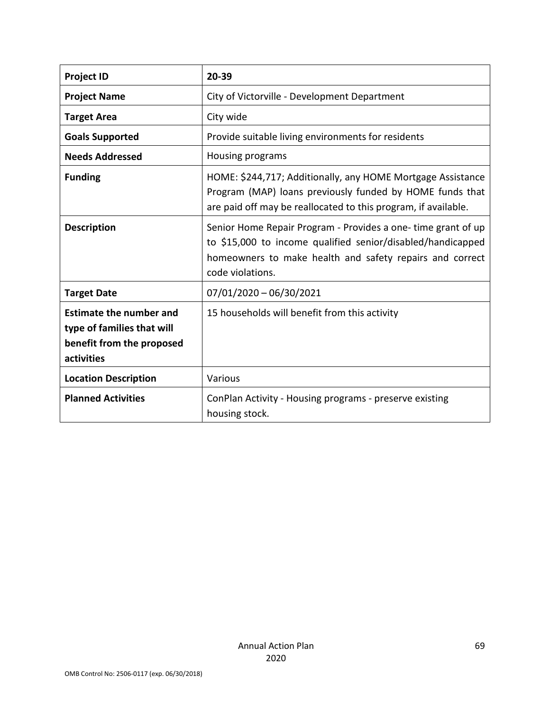| <b>Project ID</b>                                                                                       | 20-39                                                                                                                                                                                                       |  |
|---------------------------------------------------------------------------------------------------------|-------------------------------------------------------------------------------------------------------------------------------------------------------------------------------------------------------------|--|
| <b>Project Name</b>                                                                                     | City of Victorville - Development Department                                                                                                                                                                |  |
| <b>Target Area</b>                                                                                      | City wide                                                                                                                                                                                                   |  |
| <b>Goals Supported</b>                                                                                  | Provide suitable living environments for residents                                                                                                                                                          |  |
| <b>Needs Addressed</b>                                                                                  | Housing programs                                                                                                                                                                                            |  |
| <b>Funding</b>                                                                                          | HOME: \$244,717; Additionally, any HOME Mortgage Assistance<br>Program (MAP) loans previously funded by HOME funds that<br>are paid off may be reallocated to this program, if available.                   |  |
| <b>Description</b>                                                                                      | Senior Home Repair Program - Provides a one-time grant of up<br>to \$15,000 to income qualified senior/disabled/handicapped<br>homeowners to make health and safety repairs and correct<br>code violations. |  |
| <b>Target Date</b>                                                                                      | $07/01/2020 - 06/30/2021$                                                                                                                                                                                   |  |
| <b>Estimate the number and</b><br>type of families that will<br>benefit from the proposed<br>activities | 15 households will benefit from this activity                                                                                                                                                               |  |
| <b>Location Description</b>                                                                             | Various                                                                                                                                                                                                     |  |
| <b>Planned Activities</b>                                                                               | ConPlan Activity - Housing programs - preserve existing<br>housing stock.                                                                                                                                   |  |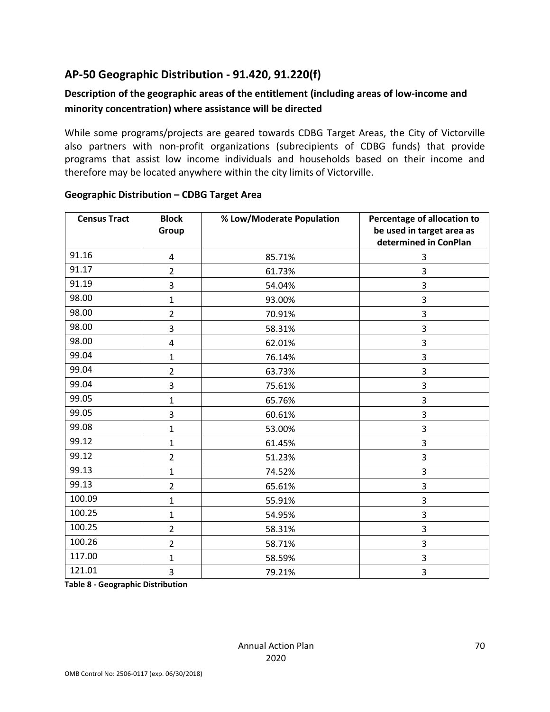# **AP-50 Geographic Distribution - 91.420, 91.220(f)**

# **Description of the geographic areas of the entitlement (including areas of low-income and minority concentration) where assistance will be directed**

While some programs/projects are geared towards CDBG Target Areas, the City of Victorville also partners with non-profit organizations (subrecipients of CDBG funds) that provide programs that assist low income individuals and households based on their income and therefore may be located anywhere within the city limits of Victorville.

| <b>Census Tract</b> | <b>Block</b><br>Group | % Low/Moderate Population | Percentage of allocation to<br>be used in target area as<br>determined in ConPlan |
|---------------------|-----------------------|---------------------------|-----------------------------------------------------------------------------------|
| 91.16               | 4                     | 85.71%                    | 3                                                                                 |
| 91.17               | $\overline{2}$        | 61.73%                    | 3                                                                                 |
| 91.19               | 3                     | 54.04%                    | 3                                                                                 |
| 98.00               | $\mathbf{1}$          | 93.00%                    | 3                                                                                 |
| 98.00               | $\overline{2}$        | 70.91%                    | 3                                                                                 |
| 98.00               | 3                     | 58.31%                    | 3                                                                                 |
| 98.00               | 4                     | 62.01%                    | 3                                                                                 |
| 99.04               | $\mathbf{1}$          | 76.14%                    | 3                                                                                 |
| 99.04               | $\overline{2}$        | 63.73%                    | 3                                                                                 |
| 99.04               | 3                     | 75.61%                    | 3                                                                                 |
| 99.05               | $\mathbf{1}$          | 65.76%                    | 3                                                                                 |
| 99.05               | 3                     | 60.61%                    | 3                                                                                 |
| 99.08               | $\mathbf{1}$          | 53.00%                    | 3                                                                                 |
| 99.12               | $\mathbf{1}$          | 61.45%                    | 3                                                                                 |
| 99.12               | $\overline{2}$        | 51.23%                    | 3                                                                                 |
| 99.13               | $\mathbf{1}$          | 74.52%                    | 3                                                                                 |
| 99.13               | $\overline{2}$        | 65.61%                    | 3                                                                                 |
| 100.09              | $\mathbf{1}$          | 55.91%                    | 3                                                                                 |
| 100.25              | $\mathbf{1}$          | 54.95%                    | 3                                                                                 |
| 100.25              | $\overline{2}$        | 58.31%                    | 3                                                                                 |
| 100.26              | $\overline{2}$        | 58.71%                    | 3                                                                                 |
| 117.00              | $\mathbf{1}$          | 58.59%                    | 3                                                                                 |
| 121.01              | 3                     | 79.21%                    | 3                                                                                 |

## **Geographic Distribution – CDBG Target Area**

**Table 8 - Geographic Distribution**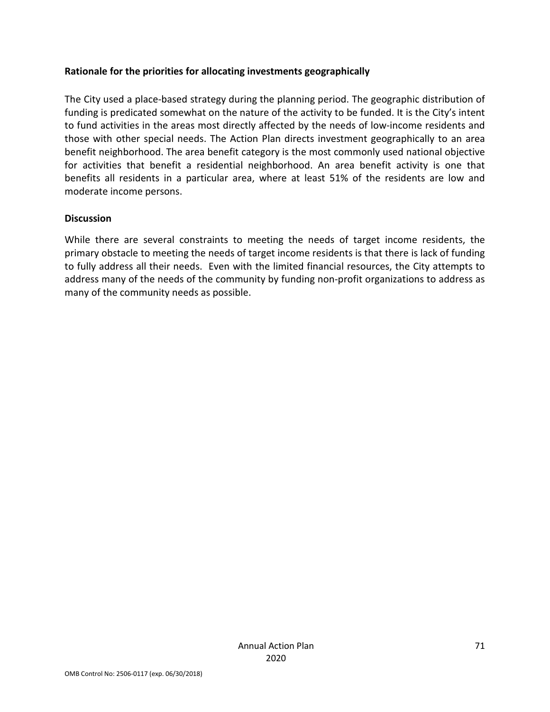## **Rationale for the priorities for allocating investments geographically**

The City used a place-based strategy during the planning period. The geographic distribution of funding is predicated somewhat on the nature of the activity to be funded. It is the City's intent to fund activities in the areas most directly affected by the needs of low-income residents and those with other special needs. The Action Plan directs investment geographically to an area benefit neighborhood. The area benefit category is the most commonly used national objective for activities that benefit a residential neighborhood. An area benefit activity is one that benefits all residents in a particular area, where at least 51% of the residents are low and moderate income persons.

### **Discussion**

While there are several constraints to meeting the needs of target income residents, the primary obstacle to meeting the needs of target income residents is that there is lack of funding to fully address all their needs. Even with the limited financial resources, the City attempts to address many of the needs of the community by funding non-profit organizations to address as many of the community needs as possible.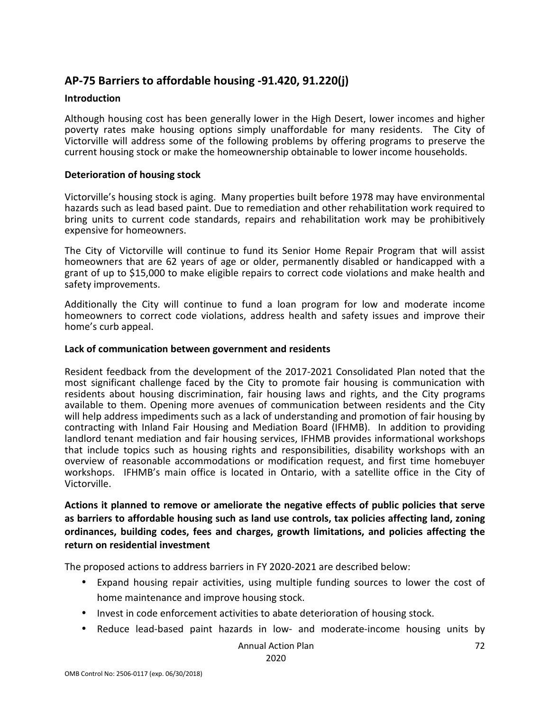# **AP-75 Barriers to affordable housing -91.420, 91.220(j)**

### **Introduction**

Although housing cost has been generally lower in the High Desert, lower incomes and higher poverty rates make housing options simply unaffordable for many residents. The City of Victorville will address some of the following problems by offering programs to preserve the current housing stock or make the homeownership obtainable to lower income households.

### **Deterioration of housing stock**

Victorville's housing stock is aging. Many properties built before 1978 may have environmental hazards such as lead based paint. Due to remediation and other rehabilitation work required to bring units to current code standards, repairs and rehabilitation work may be prohibitively expensive for homeowners.

The City of Victorville will continue to fund its Senior Home Repair Program that will assist homeowners that are 62 years of age or older, permanently disabled or handicapped with a grant of up to \$15,000 to make eligible repairs to correct code violations and make health and safety improvements.

Additionally the City will continue to fund a loan program for low and moderate income homeowners to correct code violations, address health and safety issues and improve their home's curb appeal.

#### **Lack of communication between government and residents**

Resident feedback from the development of the 2017-2021 Consolidated Plan noted that the most significant challenge faced by the City to promote fair housing is communication with residents about housing discrimination, fair housing laws and rights, and the City programs available to them. Opening more avenues of communication between residents and the City will help address impediments such as a lack of understanding and promotion of fair housing by contracting with Inland Fair Housing and Mediation Board (IFHMB). In addition to providing landlord tenant mediation and fair housing services, IFHMB provides informational workshops that include topics such as housing rights and responsibilities, disability workshops with an overview of reasonable accommodations or modification request, and first time homebuyer workshops. IFHMB's main office is located in Ontario, with a satellite office in the City of Victorville.

# **Actions it planned to remove or ameliorate the negative effects of public policies that serve as barriers to affordable housing such as land use controls, tax policies affecting land, zoning ordinances, building codes, fees and charges, growth limitations, and policies affecting the return on residential investment**

The proposed actions to address barriers in FY 2020-2021 are described below:

- Expand housing repair activities, using multiple funding sources to lower the cost of home maintenance and improve housing stock.
- Invest in code enforcement activities to abate deterioration of housing stock.
- Reduce lead-based paint hazards in low- and moderate-income housing units by

Annual Action Plan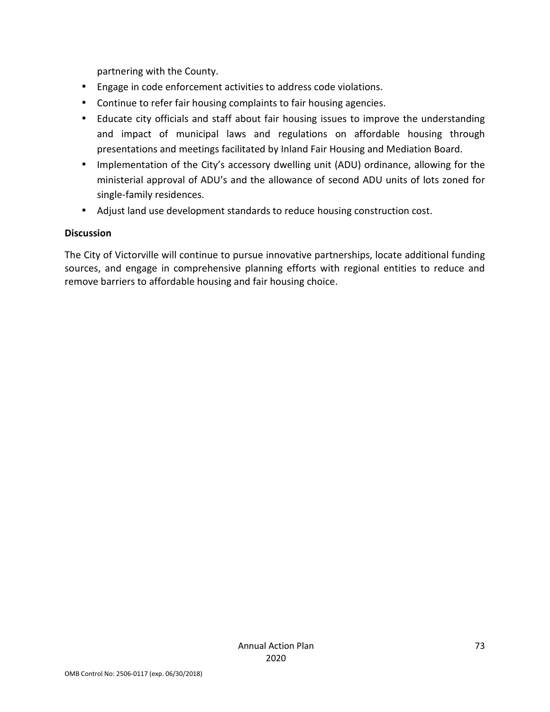partnering with the County.

- Engage in code enforcement activities to address code violations.
- Continue to refer fair housing complaints to fair housing agencies.
- Educate city officials and staff about fair housing issues to improve the understanding and impact of municipal laws and regulations on affordable housing through presentations and meetings facilitated by Inland Fair Housing and Mediation Board.
- Implementation of the City's accessory dwelling unit (ADU) ordinance, allowing for the ministerial approval of ADU's and the allowance of second ADU units of lots zoned for single-family residences.
- Adjust land use development standards to reduce housing construction cost.

#### **Discussion**

The City of Victorville will continue to pursue innovative partnerships, locate additional funding sources, and engage in comprehensive planning efforts with regional entities to reduce and remove barriers to affordable housing and fair housing choice.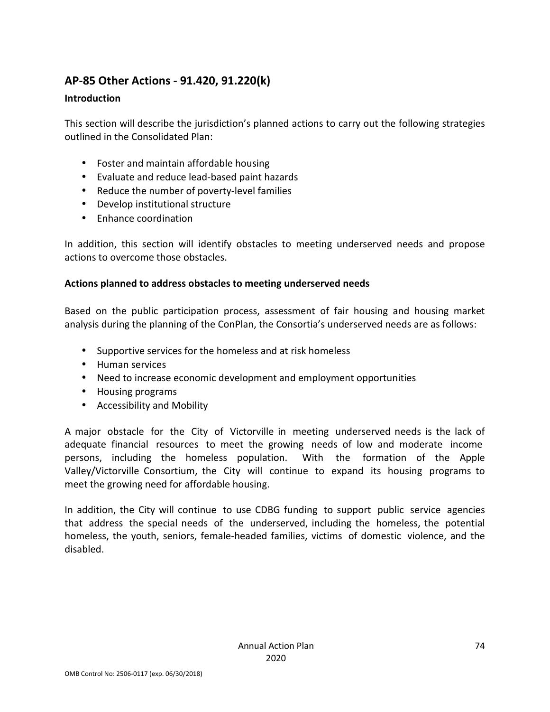# **AP-85 Other Actions - 91.420, 91.220(k)**

### **Introduction**

This section will describe the jurisdiction's planned actions to carry out the following strategies outlined in the Consolidated Plan:

- Foster and maintain affordable housing
- Evaluate and reduce lead-based paint hazards
- Reduce the number of poverty-level families
- Develop institutional structure
- Enhance coordination

In addition, this section will identify obstacles to meeting underserved needs and propose actions to overcome those obstacles.

### **Actions planned to address obstacles to meeting underserved needs**

Based on the public participation process, assessment of fair housing and housing market analysis during the planning of the ConPlan, the Consortia's underserved needs are as follows:

- Supportive services for the homeless and at risk homeless
- Human services
- Need to increase economic development and employment opportunities
- Housing programs
- Accessibility and Mobility

A major obstacle for the City of Victorville in meeting underserved needs is the lack of adequate financial resources to meet the growing needs of low and moderate income persons, including the homeless population. With the formation of the Apple Valley/Victorville Consortium, the City will continue to expand its housing programs to meet the growing need for affordable housing.

In addition, the City will continue to use CDBG funding to support public service agencies that address the special needs of the underserved, including the homeless, the potential homeless, the youth, seniors, female-headed families, victims of domestic violence, and the disabled.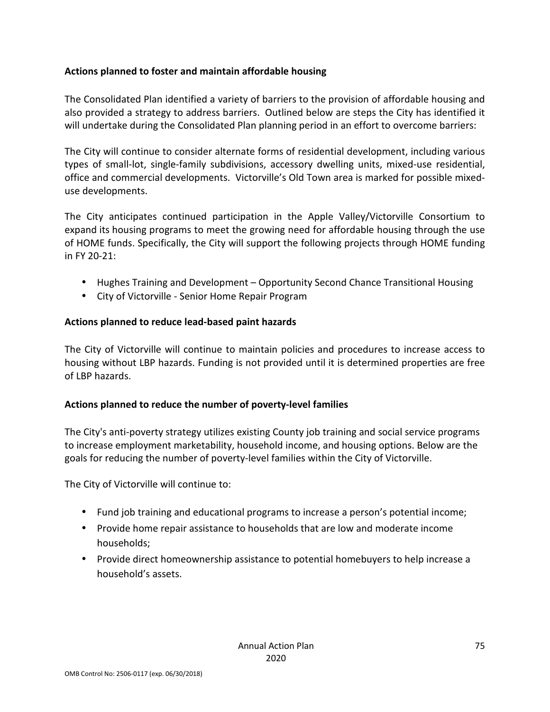### **Actions planned to foster and maintain affordable housing**

The Consolidated Plan identified a variety of barriers to the provision of affordable housing and also provided a strategy to address barriers. Outlined below are steps the City has identified it will undertake during the Consolidated Plan planning period in an effort to overcome barriers:

The City will continue to consider alternate forms of residential development, including various types of small-lot, single-family subdivisions, accessory dwelling units, mixed-use residential, office and commercial developments. Victorville's Old Town area is marked for possible mixeduse developments.

The City anticipates continued participation in the Apple Valley/Victorville Consortium to expand its housing programs to meet the growing need for affordable housing through the use of HOME funds. Specifically, the City will support the following projects through HOME funding in FY 20-21:

- Hughes Training and Development Opportunity Second Chance Transitional Housing
- City of Victorville Senior Home Repair Program

### **Actions planned to reduce lead-based paint hazards**

The City of Victorville will continue to maintain policies and procedures to increase access to housing without LBP hazards. Funding is not provided until it is determined properties are free of LBP hazards.

### **Actions planned to reduce the number of poverty-level families**

The City's anti-poverty strategy utilizes existing County job training and social service programs to increase employment marketability, household income, and housing options. Below are the goals for reducing the number of poverty-level families within the City of Victorville.

The City of Victorville will continue to:

- Fund job training and educational programs to increase a person's potential income;
- Provide home repair assistance to households that are low and moderate income households;
- Provide direct homeownership assistance to potential homebuyers to help increase a household's assets.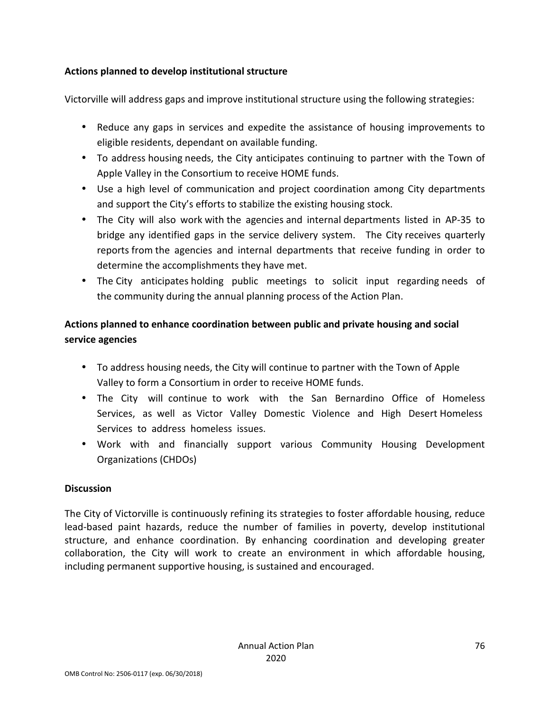### **Actions planned to develop institutional structure**

Victorville will address gaps and improve institutional structure using the following strategies:

- Reduce any gaps in services and expedite the assistance of housing improvements to eligible residents, dependant on available funding.
- To address housing needs, the City anticipates continuing to partner with the Town of Apple Valley in the Consortium to receive HOME funds.
- Use a high level of communication and project coordination among City departments and support the City's efforts to stabilize the existing housing stock.
- The City will also work with the agencies and internal departments listed in AP-35 to bridge any identified gaps in the service delivery system. The City receives quarterly reports from the agencies and internal departments that receive funding in order to determine the accomplishments they have met.
- The City anticipates holding public meetings to solicit input regarding needs of the community during the annual planning process of the Action Plan.

# **Actions planned to enhance coordination between public and private housing and social service agencies**

- To address housing needs, the City will continue to partner with the Town of Apple Valley to form a Consortium in order to receive HOME funds.
- The City will continue to work with the San Bernardino Office of Homeless Services, as well as Victor Valley Domestic Violence and High Desert Homeless Services to address homeless issues.
- Work with and financially support various Community Housing Development Organizations (CHDOs)

### **Discussion**

The City of Victorville is continuously refining its strategies to foster affordable housing, reduce lead-based paint hazards, reduce the number of families in poverty, develop institutional structure, and enhance coordination. By enhancing coordination and developing greater collaboration, the City will work to create an environment in which affordable housing, including permanent supportive housing, is sustained and encouraged.